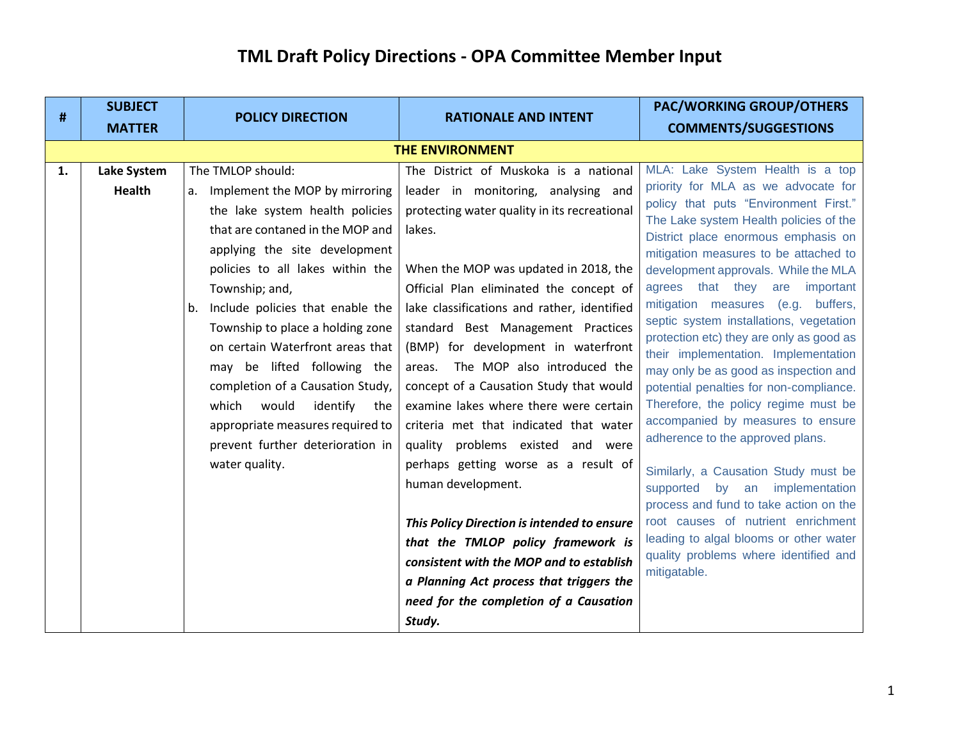| #  | <b>SUBJECT</b>     | <b>POLICY DIRECTION</b>                                                                                                                                                                                                                                                                                                                                                                                                                                                                                             | <b>RATIONALE AND INTENT</b>                                                                                                                                                                                                                                                                                                                                                                                                                                                                                                                                                                                                                                                                                                                                                                                     | <b>PAC/WORKING GROUP/OTHERS</b>                                                                                                                                                                                                                                                                                                                                                                                                                                                                                                                                                                                                                                                                                                                                                                                                                                                                                         |
|----|--------------------|---------------------------------------------------------------------------------------------------------------------------------------------------------------------------------------------------------------------------------------------------------------------------------------------------------------------------------------------------------------------------------------------------------------------------------------------------------------------------------------------------------------------|-----------------------------------------------------------------------------------------------------------------------------------------------------------------------------------------------------------------------------------------------------------------------------------------------------------------------------------------------------------------------------------------------------------------------------------------------------------------------------------------------------------------------------------------------------------------------------------------------------------------------------------------------------------------------------------------------------------------------------------------------------------------------------------------------------------------|-------------------------------------------------------------------------------------------------------------------------------------------------------------------------------------------------------------------------------------------------------------------------------------------------------------------------------------------------------------------------------------------------------------------------------------------------------------------------------------------------------------------------------------------------------------------------------------------------------------------------------------------------------------------------------------------------------------------------------------------------------------------------------------------------------------------------------------------------------------------------------------------------------------------------|
|    | <b>MATTER</b>      |                                                                                                                                                                                                                                                                                                                                                                                                                                                                                                                     |                                                                                                                                                                                                                                                                                                                                                                                                                                                                                                                                                                                                                                                                                                                                                                                                                 | <b>COMMENTS/SUGGESTIONS</b>                                                                                                                                                                                                                                                                                                                                                                                                                                                                                                                                                                                                                                                                                                                                                                                                                                                                                             |
|    |                    |                                                                                                                                                                                                                                                                                                                                                                                                                                                                                                                     | <b>THE ENVIRONMENT</b>                                                                                                                                                                                                                                                                                                                                                                                                                                                                                                                                                                                                                                                                                                                                                                                          |                                                                                                                                                                                                                                                                                                                                                                                                                                                                                                                                                                                                                                                                                                                                                                                                                                                                                                                         |
| 1. | <b>Lake System</b> | The TMLOP should:                                                                                                                                                                                                                                                                                                                                                                                                                                                                                                   | The District of Muskoka is a national                                                                                                                                                                                                                                                                                                                                                                                                                                                                                                                                                                                                                                                                                                                                                                           | MLA: Lake System Health is a top                                                                                                                                                                                                                                                                                                                                                                                                                                                                                                                                                                                                                                                                                                                                                                                                                                                                                        |
|    | <b>Health</b>      | a. Implement the MOP by mirroring<br>the lake system health policies<br>that are contaned in the MOP and<br>applying the site development<br>policies to all lakes within the<br>Township; and,<br>Include policies that enable the<br>b.<br>Township to place a holding zone<br>on certain Waterfront areas that<br>may be lifted following the<br>completion of a Causation Study,<br>would<br>identify<br>which<br>the<br>appropriate measures required to<br>prevent further deterioration in<br>water quality. | leader in monitoring, analysing and<br>protecting water quality in its recreational<br>lakes.<br>When the MOP was updated in 2018, the<br>Official Plan eliminated the concept of<br>lake classifications and rather, identified<br>standard Best Management Practices<br>(BMP) for development in waterfront<br>The MOP also introduced the<br>areas.<br>concept of a Causation Study that would<br>examine lakes where there were certain<br>criteria met that indicated that water<br>quality problems existed and were<br>perhaps getting worse as a result of<br>human development.<br>This Policy Direction is intended to ensure<br>that the TMLOP policy framework is<br>consistent with the MOP and to establish<br>a Planning Act process that triggers the<br>need for the completion of a Causation | priority for MLA as we advocate for<br>policy that puts "Environment First."<br>The Lake system Health policies of the<br>District place enormous emphasis on<br>mitigation measures to be attached to<br>development approvals. While the MLA<br>agrees that they are important<br>mitigation measures (e.g. buffers,<br>septic system installations, vegetation<br>protection etc) they are only as good as<br>their implementation. Implementation<br>may only be as good as inspection and<br>potential penalties for non-compliance.<br>Therefore, the policy regime must be<br>accompanied by measures to ensure<br>adherence to the approved plans.<br>Similarly, a Causation Study must be<br>supported by an implementation<br>process and fund to take action on the<br>root causes of nutrient enrichment<br>leading to algal blooms or other water<br>quality problems where identified and<br>mitigatable. |
|    |                    |                                                                                                                                                                                                                                                                                                                                                                                                                                                                                                                     | Study.                                                                                                                                                                                                                                                                                                                                                                                                                                                                                                                                                                                                                                                                                                                                                                                                          |                                                                                                                                                                                                                                                                                                                                                                                                                                                                                                                                                                                                                                                                                                                                                                                                                                                                                                                         |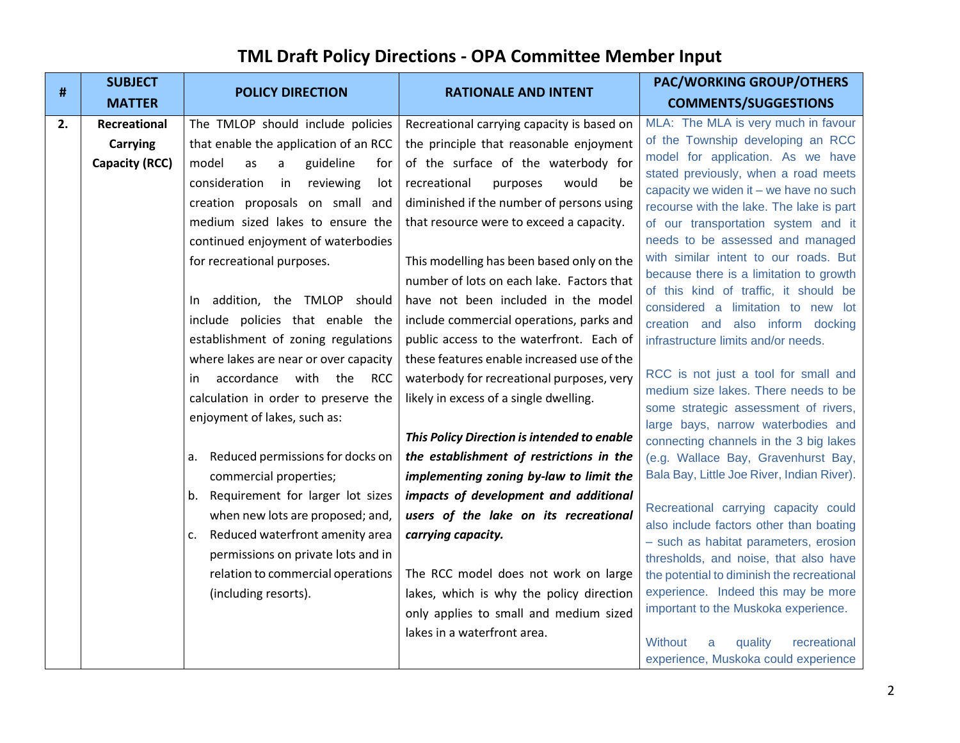|    | <b>SUBJECT</b>        | <b>POLICY DIRECTION</b>                        | <b>RATIONALE AND INTENT</b>                 | <b>PAC/WORKING GROUP/OTHERS</b>                                                  |
|----|-----------------------|------------------------------------------------|---------------------------------------------|----------------------------------------------------------------------------------|
| #  | <b>MATTER</b>         |                                                |                                             | <b>COMMENTS/SUGGESTIONS</b>                                                      |
| 2. | Recreational          | The TMLOP should include policies              | Recreational carrying capacity is based on  | MLA: The MLA is very much in favour                                              |
|    | <b>Carrying</b>       | that enable the application of an RCC          | the principle that reasonable enjoyment     | of the Township developing an RCC                                                |
|    | <b>Capacity (RCC)</b> | model<br>as<br>guideline<br>a<br>for           | of the surface of the waterbody for         | model for application. As we have<br>stated previously, when a road meets        |
|    |                       | consideration<br>in<br>reviewing<br>lot        | recreational<br>purposes<br>would<br>be     | capacity we widen it - we have no such                                           |
|    |                       | creation proposals on small and                | diminished if the number of persons using   | recourse with the lake. The lake is part                                         |
|    |                       | medium sized lakes to ensure the               | that resource were to exceed a capacity.    | of our transportation system and it                                              |
|    |                       | continued enjoyment of waterbodies             |                                             | needs to be assessed and managed                                                 |
|    |                       | for recreational purposes.                     | This modelling has been based only on the   | with similar intent to our roads. But                                            |
|    |                       |                                                | number of lots on each lake. Factors that   | because there is a limitation to growth<br>of this kind of traffic, it should be |
|    |                       | In addition, the TMLOP should                  | have not been included in the model         | considered a limitation to new lot                                               |
|    |                       | include policies that enable the               | include commercial operations, parks and    | creation and also inform docking                                                 |
|    |                       | establishment of zoning regulations            | public access to the waterfront. Each of    | infrastructure limits and/or needs.                                              |
|    |                       | where lakes are near or over capacity          | these features enable increased use of the  |                                                                                  |
|    |                       | accordance<br>with<br>the<br><b>RCC</b><br>in. | waterbody for recreational purposes, very   | RCC is not just a tool for small and                                             |
|    |                       | calculation in order to preserve the           | likely in excess of a single dwelling.      | medium size lakes. There needs to be<br>some strategic assessment of rivers,     |
|    |                       | enjoyment of lakes, such as:                   |                                             | large bays, narrow waterbodies and                                               |
|    |                       |                                                | This Policy Direction is intended to enable | connecting channels in the 3 big lakes                                           |
|    |                       | Reduced permissions for docks on<br>a.         | the establishment of restrictions in the    | (e.g. Wallace Bay, Gravenhurst Bay,                                              |
|    |                       | commercial properties;                         | implementing zoning by-law to limit the     | Bala Bay, Little Joe River, Indian River).                                       |
|    |                       | Requirement for larger lot sizes<br>b.         | impacts of development and additional       |                                                                                  |
|    |                       | when new lots are proposed; and,               | users of the lake on its recreational       | Recreational carrying capacity could<br>also include factors other than boating  |
|    |                       | Reduced waterfront amenity area<br>c.          | carrying capacity.                          | - such as habitat parameters, erosion                                            |
|    |                       | permissions on private lots and in             |                                             | thresholds, and noise, that also have                                            |
|    |                       | relation to commercial operations              | The RCC model does not work on large        | the potential to diminish the recreational                                       |
|    |                       | (including resorts).                           | lakes, which is why the policy direction    | experience. Indeed this may be more                                              |
|    |                       |                                                | only applies to small and medium sized      | important to the Muskoka experience.                                             |
|    |                       |                                                | lakes in a waterfront area.                 | Without<br>quality<br>recreational<br>a                                          |
|    |                       |                                                |                                             | experience, Muskoka could experience                                             |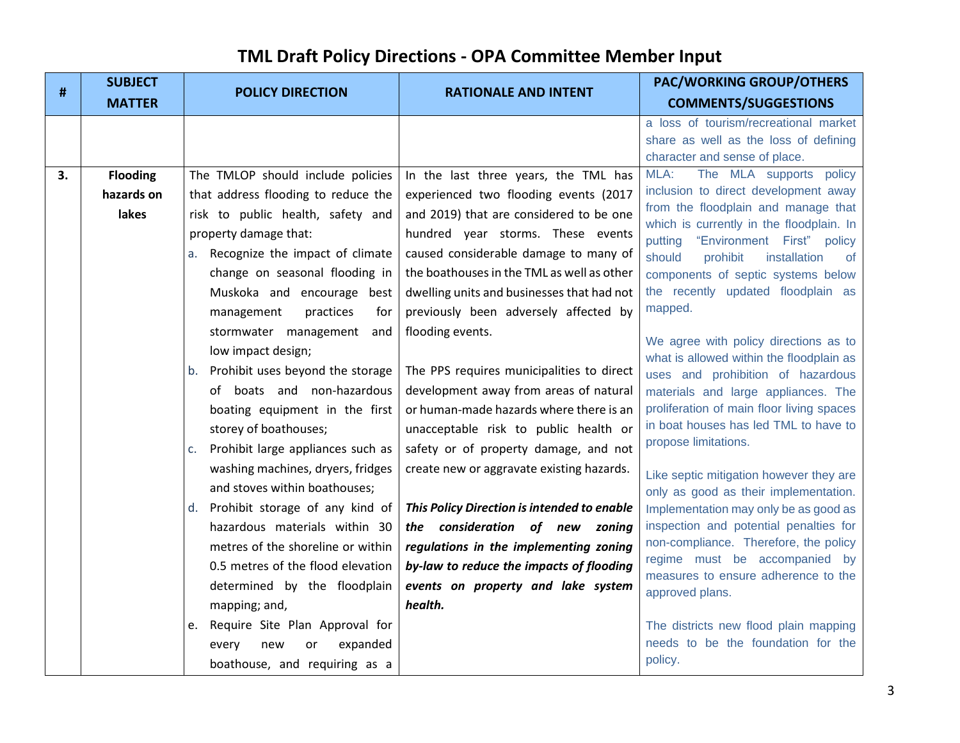| #  | <b>SUBJECT</b>  | <b>POLICY DIRECTION</b>                 | <b>RATIONALE AND INTENT</b>                 | <b>PAC/WORKING GROUP/OTHERS</b>                                                 |
|----|-----------------|-----------------------------------------|---------------------------------------------|---------------------------------------------------------------------------------|
|    | <b>MATTER</b>   |                                         |                                             | <b>COMMENTS/SUGGESTIONS</b>                                                     |
|    |                 |                                         |                                             | a loss of tourism/recreational market<br>share as well as the loss of defining  |
|    |                 |                                         |                                             | character and sense of place.                                                   |
| 3. | <b>Flooding</b> | The TMLOP should include policies       | In the last three years, the TML has        | The MLA supports policy<br>MLA:                                                 |
|    | hazards on      | that address flooding to reduce the     | experienced two flooding events (2017       | inclusion to direct development away                                            |
|    | lakes           | risk to public health, safety and       | and 2019) that are considered to be one     | from the floodplain and manage that<br>which is currently in the floodplain. In |
|    |                 | property damage that:                   | hundred year storms. These events           | putting "Environment First" policy                                              |
|    |                 | a. Recognize the impact of climate      | caused considerable damage to many of       | should<br>prohibit<br>installation<br>of                                        |
|    |                 | change on seasonal flooding in          | the boathouses in the TML as well as other  | components of septic systems below                                              |
|    |                 | Muskoka and encourage best              | dwelling units and businesses that had not  | the recently updated floodplain as                                              |
|    |                 | practices<br>management<br>for          | previously been adversely affected by       | mapped.                                                                         |
|    |                 | stormwater management<br>and            | flooding events.                            | We agree with policy directions as to                                           |
|    |                 | low impact design;                      |                                             | what is allowed within the floodplain as                                        |
|    |                 | Prohibit uses beyond the storage<br>b.  | The PPS requires municipalities to direct   | uses and prohibition of hazardous                                               |
|    |                 | of boats and non-hazardous              | development away from areas of natural      | materials and large appliances. The                                             |
|    |                 | boating equipment in the first          | or human-made hazards where there is an     | proliferation of main floor living spaces                                       |
|    |                 | storey of boathouses;                   | unacceptable risk to public health or       | in boat houses has led TML to have to                                           |
|    |                 | Prohibit large appliances such as<br>c. | safety or of property damage, and not       | propose limitations.                                                            |
|    |                 | washing machines, dryers, fridges       | create new or aggravate existing hazards.   | Like septic mitigation however they are                                         |
|    |                 | and stoves within boathouses;           |                                             | only as good as their implementation.                                           |
|    |                 | d. Prohibit storage of any kind of      | This Policy Direction is intended to enable | Implementation may only be as good as                                           |
|    |                 | hazardous materials within 30           | the consideration of new zoning             | inspection and potential penalties for                                          |
|    |                 | metres of the shoreline or within       | regulations in the implementing zoning      | non-compliance. Therefore, the policy                                           |
|    |                 | 0.5 metres of the flood elevation       | by-law to reduce the impacts of flooding    | regime must be accompanied by<br>measures to ensure adherence to the            |
|    |                 | determined by the floodplain            | events on property and lake system          | approved plans.                                                                 |
|    |                 | mapping; and,                           | health.                                     |                                                                                 |
|    |                 | e. Require Site Plan Approval for       |                                             | The districts new flood plain mapping                                           |
|    |                 | expanded<br>or<br>every<br>new          |                                             | needs to be the foundation for the                                              |
|    |                 | boathouse, and requiring as a           |                                             | policy.                                                                         |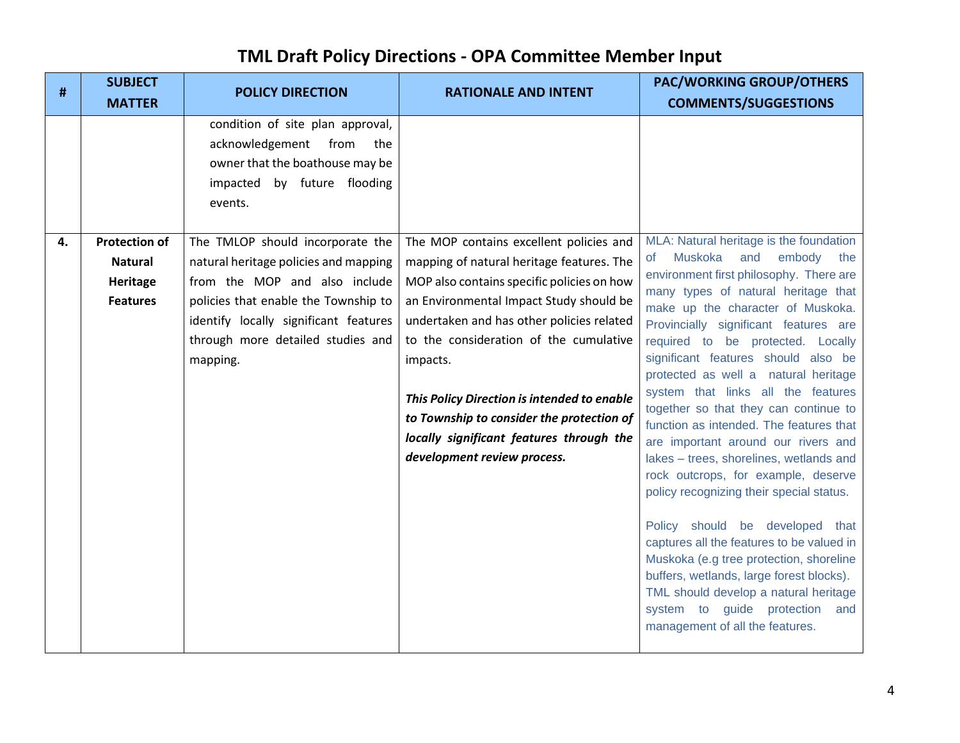| #  | <b>SUBJECT</b><br><b>MATTER</b> | <b>POLICY DIRECTION</b>                                                                                                                                                       | <b>RATIONALE AND INTENT</b>                                                                                                                                                     | <b>PAC/WORKING GROUP/OTHERS</b><br><b>COMMENTS/SUGGESTIONS</b>                                                                                                                                                                                                                                                                                                                                                                                                                                                                                                                                                                                                  |
|----|---------------------------------|-------------------------------------------------------------------------------------------------------------------------------------------------------------------------------|---------------------------------------------------------------------------------------------------------------------------------------------------------------------------------|-----------------------------------------------------------------------------------------------------------------------------------------------------------------------------------------------------------------------------------------------------------------------------------------------------------------------------------------------------------------------------------------------------------------------------------------------------------------------------------------------------------------------------------------------------------------------------------------------------------------------------------------------------------------|
| 4. | <b>Protection of</b>            | condition of site plan approval,<br>acknowledgement from the<br>owner that the boathouse may be<br>impacted by future flooding<br>events.<br>The TMLOP should incorporate the | The MOP contains excellent policies and                                                                                                                                         | MLA: Natural heritage is the foundation                                                                                                                                                                                                                                                                                                                                                                                                                                                                                                                                                                                                                         |
|    | <b>Natural</b>                  | natural heritage policies and mapping                                                                                                                                         | mapping of natural heritage features. The                                                                                                                                       | and embody<br>Muskoka<br>the<br>0f                                                                                                                                                                                                                                                                                                                                                                                                                                                                                                                                                                                                                              |
|    | Heritage                        | from the MOP and also include                                                                                                                                                 | MOP also contains specific policies on how                                                                                                                                      | environment first philosophy. There are<br>many types of natural heritage that                                                                                                                                                                                                                                                                                                                                                                                                                                                                                                                                                                                  |
|    | <b>Features</b>                 | policies that enable the Township to                                                                                                                                          | an Environmental Impact Study should be                                                                                                                                         | make up the character of Muskoka.                                                                                                                                                                                                                                                                                                                                                                                                                                                                                                                                                                                                                               |
|    |                                 | identify locally significant features                                                                                                                                         | undertaken and has other policies related                                                                                                                                       | Provincially significant features are                                                                                                                                                                                                                                                                                                                                                                                                                                                                                                                                                                                                                           |
|    |                                 | through more detailed studies and                                                                                                                                             | to the consideration of the cumulative                                                                                                                                          | required to be protected. Locally                                                                                                                                                                                                                                                                                                                                                                                                                                                                                                                                                                                                                               |
|    |                                 | mapping.                                                                                                                                                                      | impacts.<br>This Policy Direction is intended to enable<br>to Township to consider the protection of<br>locally significant features through the<br>development review process. | significant features should also be<br>protected as well a natural heritage<br>system that links all the features<br>together so that they can continue to<br>function as intended. The features that<br>are important around our rivers and<br>lakes - trees, shorelines, wetlands and<br>rock outcrops, for example, deserve<br>policy recognizing their special status.<br>Policy should be developed that<br>captures all the features to be valued in<br>Muskoka (e.g tree protection, shoreline<br>buffers, wetlands, large forest blocks).<br>TML should develop a natural heritage<br>system to guide protection and<br>management of all the features. |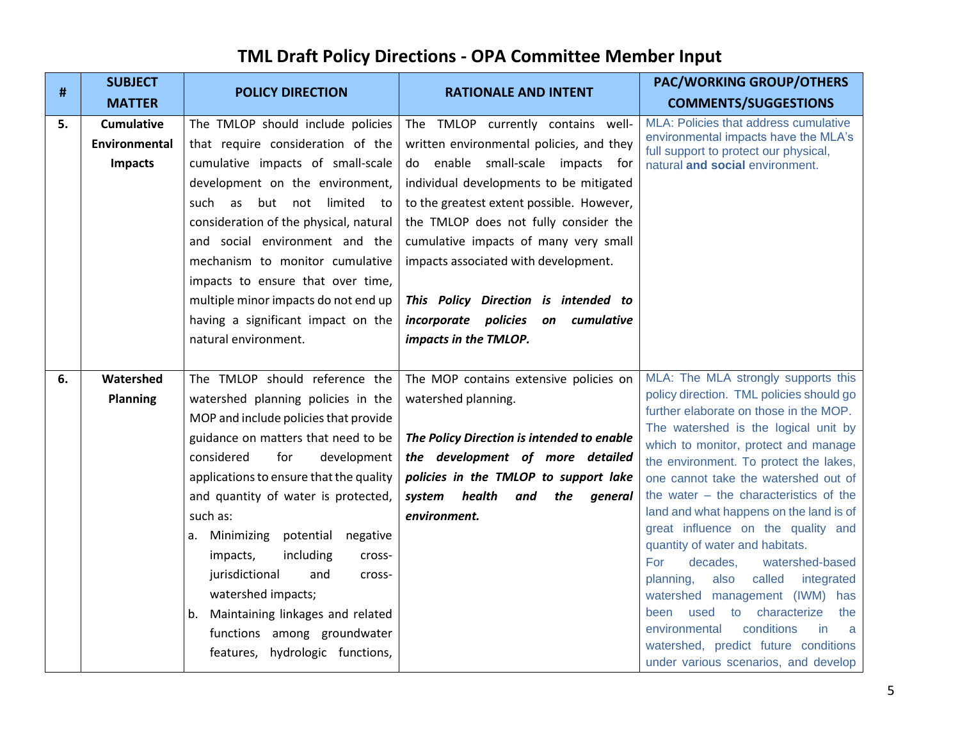| #  | <b>SUBJECT</b>                                       | <b>POLICY DIRECTION</b>                                                                                                                                                                                                                                                                                                                                                                                                                                                                                                         | <b>RATIONALE AND INTENT</b>                                                                                                                                                                                                                                                                                                                                                                                                                  | <b>PAC/WORKING GROUP/OTHERS</b>                                                                                                                                                                                                                                                                                                                                                                                                                                                                                                                                                                                                                                                                                                                 |
|----|------------------------------------------------------|---------------------------------------------------------------------------------------------------------------------------------------------------------------------------------------------------------------------------------------------------------------------------------------------------------------------------------------------------------------------------------------------------------------------------------------------------------------------------------------------------------------------------------|----------------------------------------------------------------------------------------------------------------------------------------------------------------------------------------------------------------------------------------------------------------------------------------------------------------------------------------------------------------------------------------------------------------------------------------------|-------------------------------------------------------------------------------------------------------------------------------------------------------------------------------------------------------------------------------------------------------------------------------------------------------------------------------------------------------------------------------------------------------------------------------------------------------------------------------------------------------------------------------------------------------------------------------------------------------------------------------------------------------------------------------------------------------------------------------------------------|
|    | <b>MATTER</b>                                        |                                                                                                                                                                                                                                                                                                                                                                                                                                                                                                                                 |                                                                                                                                                                                                                                                                                                                                                                                                                                              | <b>COMMENTS/SUGGESTIONS</b>                                                                                                                                                                                                                                                                                                                                                                                                                                                                                                                                                                                                                                                                                                                     |
| 5. | <b>Cumulative</b><br>Environmental<br><b>Impacts</b> | The TMLOP should include policies<br>that require consideration of the<br>cumulative impacts of small-scale<br>development on the environment,<br>but not limited to<br>such as<br>consideration of the physical, natural<br>and social environment and the<br>mechanism to monitor cumulative<br>impacts to ensure that over time,<br>multiple minor impacts do not end up<br>having a significant impact on the<br>natural environment.                                                                                       | The TMLOP currently contains well-<br>written environmental policies, and they<br>do enable small-scale impacts for<br>individual developments to be mitigated<br>to the greatest extent possible. However,<br>the TMLOP does not fully consider the<br>cumulative impacts of many very small<br>impacts associated with development.<br>This Policy Direction is intended to<br>incorporate policies on cumulative<br>impacts in the TMLOP. | MLA: Policies that address cumulative<br>environmental impacts have the MLA's<br>full support to protect our physical,<br>natural and social environment.                                                                                                                                                                                                                                                                                                                                                                                                                                                                                                                                                                                       |
| 6. | Watershed<br><b>Planning</b>                         | The TMLOP should reference the<br>watershed planning policies in the<br>MOP and include policies that provide<br>guidance on matters that need to be<br>for<br>considered<br>development<br>applications to ensure that the quality<br>and quantity of water is protected,<br>such as:<br>a. Minimizing potential negative<br>including<br>impacts,<br>cross-<br>jurisdictional<br>and<br>cross-<br>watershed impacts;<br>b. Maintaining linkages and related<br>functions among groundwater<br>features, hydrologic functions, | The MOP contains extensive policies on<br>watershed planning.<br>The Policy Direction is intended to enable<br>the development of more detailed<br>policies in the TMLOP to support lake<br>system health<br>and<br>the<br>general<br>environment.                                                                                                                                                                                           | MLA: The MLA strongly supports this<br>policy direction. TML policies should go<br>further elaborate on those in the MOP.<br>The watershed is the logical unit by<br>which to monitor, protect and manage<br>the environment. To protect the lakes,<br>one cannot take the watershed out of<br>the water $-$ the characteristics of the<br>land and what happens on the land is of<br>great influence on the quality and<br>quantity of water and habitats.<br>decades,<br>watershed-based<br>For<br>also<br>called<br>planning,<br>integrated<br>watershed management (IWM) has<br>been used to characterize<br>the<br>environmental<br>conditions<br>in.<br>a<br>watershed, predict future conditions<br>under various scenarios, and develop |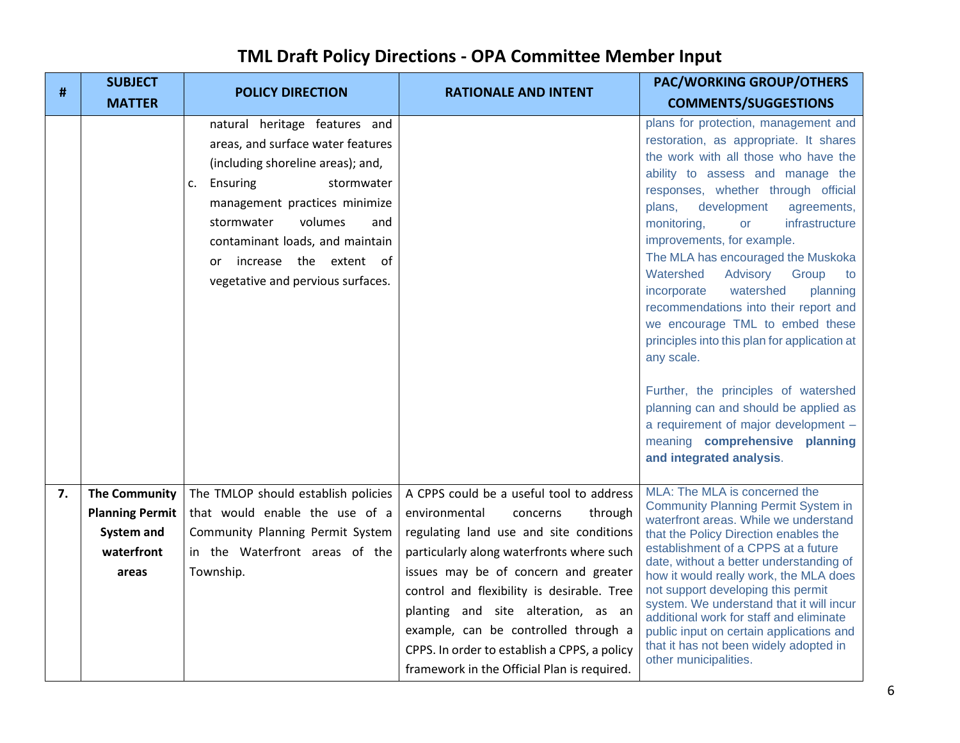| #  | <b>SUBJECT</b><br><b>MATTER</b> | <b>POLICY DIRECTION</b>                                                                                                                                                                               | <b>RATIONALE AND INTENT</b>                                                                                                                                                                                                                                      | <b>PAC/WORKING GROUP/OTHERS</b><br><b>COMMENTS/SUGGESTIONS</b>                                                                                                                                                                                                                                                                                                                                                                                    |
|----|---------------------------------|-------------------------------------------------------------------------------------------------------------------------------------------------------------------------------------------------------|------------------------------------------------------------------------------------------------------------------------------------------------------------------------------------------------------------------------------------------------------------------|---------------------------------------------------------------------------------------------------------------------------------------------------------------------------------------------------------------------------------------------------------------------------------------------------------------------------------------------------------------------------------------------------------------------------------------------------|
|    |                                 | natural heritage features and<br>areas, and surface water features<br>(including shoreline areas); and,                                                                                               |                                                                                                                                                                                                                                                                  | plans for protection, management and<br>restoration, as appropriate. It shares<br>the work with all those who have the                                                                                                                                                                                                                                                                                                                            |
|    |                                 | Ensuring<br>stormwater<br>c.<br>management practices minimize<br>volumes<br>stormwater<br>and<br>contaminant loads, and maintain<br>increase the extent of<br>or<br>vegetative and pervious surfaces. |                                                                                                                                                                                                                                                                  | ability to assess and manage the<br>responses, whether through official<br>plans,<br>development<br>agreements,<br>monitoring,<br>infrastructure<br>or<br>improvements, for example.<br>The MLA has encouraged the Muskoka<br>Watershed<br>Advisory Group<br>to<br>incorporate<br>watershed<br>planning<br>recommendations into their report and<br>we encourage TML to embed these<br>principles into this plan for application at<br>any scale. |
|    |                                 |                                                                                                                                                                                                       |                                                                                                                                                                                                                                                                  | Further, the principles of watershed<br>planning can and should be applied as<br>a requirement of major development -<br>meaning comprehensive planning<br>and integrated analysis.                                                                                                                                                                                                                                                               |
| 7. | <b>The Community</b>            | The TMLOP should establish policies                                                                                                                                                                   | A CPPS could be a useful tool to address                                                                                                                                                                                                                         | MLA: The MLA is concerned the                                                                                                                                                                                                                                                                                                                                                                                                                     |
|    | <b>Planning Permit</b>          | that would enable the use of a                                                                                                                                                                        | environmental<br>through<br>concerns                                                                                                                                                                                                                             | <b>Community Planning Permit System in</b><br>waterfront areas. While we understand                                                                                                                                                                                                                                                                                                                                                               |
|    | <b>System and</b>               | Community Planning Permit System                                                                                                                                                                      | regulating land use and site conditions                                                                                                                                                                                                                          | that the Policy Direction enables the                                                                                                                                                                                                                                                                                                                                                                                                             |
|    | waterfront                      | in the Waterfront areas of the                                                                                                                                                                        | particularly along waterfronts where such                                                                                                                                                                                                                        | establishment of a CPPS at a future<br>date, without a better understanding of                                                                                                                                                                                                                                                                                                                                                                    |
|    | areas                           | Township.                                                                                                                                                                                             | issues may be of concern and greater<br>control and flexibility is desirable. Tree<br>planting and site alteration, as an<br>example, can be controlled through a<br>CPPS. In order to establish a CPPS, a policy<br>framework in the Official Plan is required. | how it would really work, the MLA does<br>not support developing this permit<br>system. We understand that it will incur<br>additional work for staff and eliminate<br>public input on certain applications and<br>that it has not been widely adopted in<br>other municipalities.                                                                                                                                                                |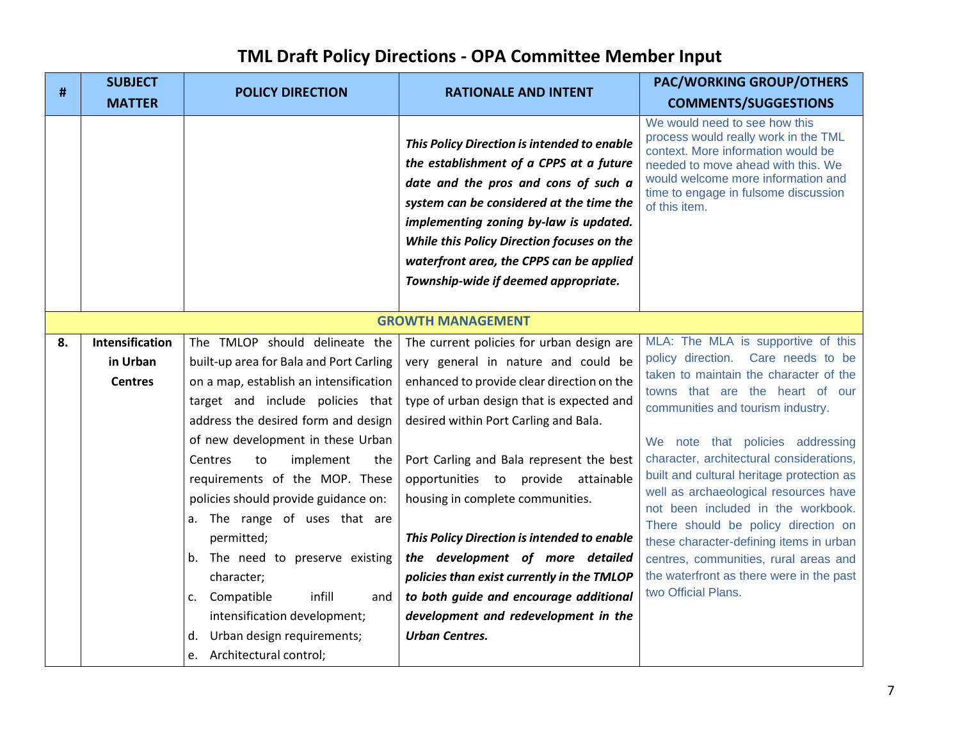| #  | <b>SUBJECT</b><br><b>MATTER</b>               | <b>POLICY DIRECTION</b>                                                                                                                                                                                                                                                                                                                                                                                                                                                                                                                                                                | <b>RATIONALE AND INTENT</b>                                                                                                                                                                                                                                                                                                                                                                                                                                                                                                                                                             | <b>PAC/WORKING GROUP/OTHERS</b><br><b>COMMENTS/SUGGESTIONS</b>                                                                                                                                                                                                                                                                                                                                                                                                                                                                                                                                       |
|----|-----------------------------------------------|----------------------------------------------------------------------------------------------------------------------------------------------------------------------------------------------------------------------------------------------------------------------------------------------------------------------------------------------------------------------------------------------------------------------------------------------------------------------------------------------------------------------------------------------------------------------------------------|-----------------------------------------------------------------------------------------------------------------------------------------------------------------------------------------------------------------------------------------------------------------------------------------------------------------------------------------------------------------------------------------------------------------------------------------------------------------------------------------------------------------------------------------------------------------------------------------|------------------------------------------------------------------------------------------------------------------------------------------------------------------------------------------------------------------------------------------------------------------------------------------------------------------------------------------------------------------------------------------------------------------------------------------------------------------------------------------------------------------------------------------------------------------------------------------------------|
|    |                                               |                                                                                                                                                                                                                                                                                                                                                                                                                                                                                                                                                                                        | This Policy Direction is intended to enable<br>the establishment of a CPPS at a future<br>date and the pros and cons of such a<br>system can be considered at the time the<br>implementing zoning by-law is updated.<br>While this Policy Direction focuses on the<br>waterfront area, the CPPS can be applied<br>Township-wide if deemed appropriate.                                                                                                                                                                                                                                  | We would need to see how this<br>process would really work in the TML<br>context. More information would be<br>needed to move ahead with this. We<br>would welcome more information and<br>time to engage in fulsome discussion<br>of this item.                                                                                                                                                                                                                                                                                                                                                     |
|    |                                               |                                                                                                                                                                                                                                                                                                                                                                                                                                                                                                                                                                                        | <b>GROWTH MANAGEMENT</b>                                                                                                                                                                                                                                                                                                                                                                                                                                                                                                                                                                |                                                                                                                                                                                                                                                                                                                                                                                                                                                                                                                                                                                                      |
| 8. | Intensification<br>in Urban<br><b>Centres</b> | The TMLOP should delineate the<br>built-up area for Bala and Port Carling<br>on a map, establish an intensification<br>target and include policies that<br>address the desired form and design<br>of new development in these Urban<br>Centres<br>implement<br>to<br>the<br>requirements of the MOP. These<br>policies should provide guidance on:<br>a. The range of uses that are<br>permitted;<br>b. The need to preserve existing<br>character;<br>infill<br>c. Compatible<br>and<br>intensification development;<br>Urban design requirements;<br>d.<br>e. Architectural control; | The current policies for urban design are<br>very general in nature and could be<br>enhanced to provide clear direction on the<br>type of urban design that is expected and<br>desired within Port Carling and Bala.<br>Port Carling and Bala represent the best<br>opportunities to provide attainable<br>housing in complete communities.<br>This Policy Direction is intended to enable<br>the development of more detailed<br>policies than exist currently in the TMLOP<br>to both guide and encourage additional<br>development and redevelopment in the<br><b>Urban Centres.</b> | MLA: The MLA is supportive of this<br>policy direction. Care needs to be<br>taken to maintain the character of the<br>towns that are the heart of our<br>communities and tourism industry.<br>We note that policies addressing<br>character, architectural considerations,<br>built and cultural heritage protection as<br>well as archaeological resources have<br>not been included in the workbook.<br>There should be policy direction on<br>these character-defining items in urban<br>centres, communities, rural areas and<br>the waterfront as there were in the past<br>two Official Plans. |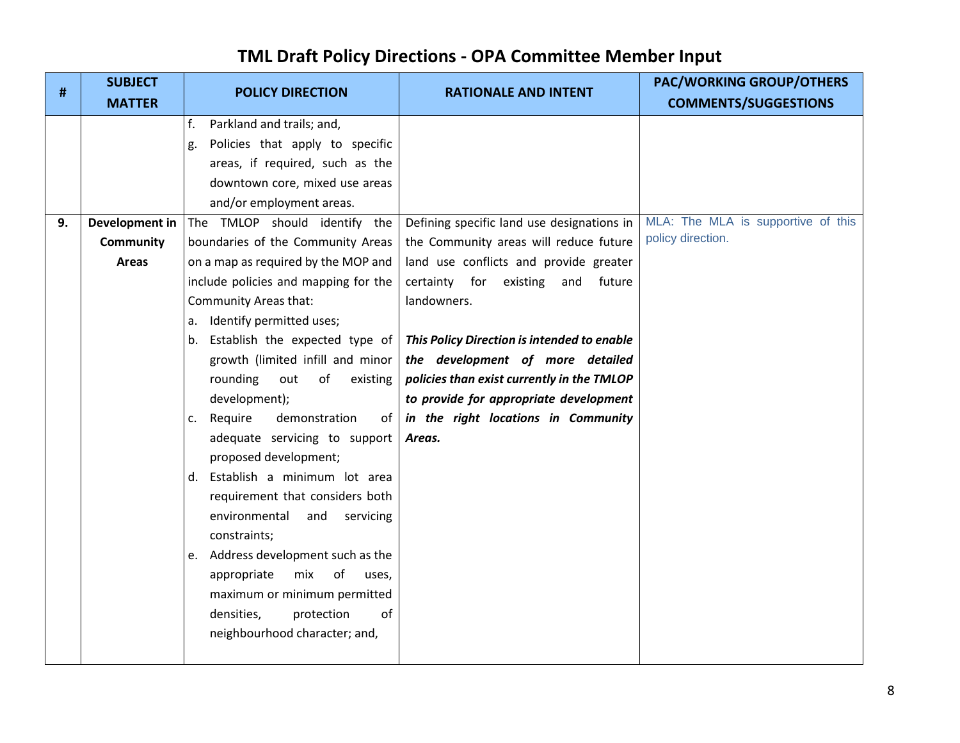| #  | <b>SUBJECT</b>   | <b>POLICY DIRECTION</b>                                                                                                                                                    | <b>RATIONALE AND INTENT</b>                 | <b>PAC/WORKING GROUP/OTHERS</b>    |
|----|------------------|----------------------------------------------------------------------------------------------------------------------------------------------------------------------------|---------------------------------------------|------------------------------------|
|    | <b>MATTER</b>    |                                                                                                                                                                            |                                             | <b>COMMENTS/SUGGESTIONS</b>        |
|    |                  | Parkland and trails; and,<br>f.                                                                                                                                            |                                             |                                    |
|    |                  | Policies that apply to specific<br>g.                                                                                                                                      |                                             |                                    |
|    |                  | areas, if required, such as the                                                                                                                                            |                                             |                                    |
|    |                  | downtown core, mixed use areas                                                                                                                                             |                                             |                                    |
|    |                  | and/or employment areas.                                                                                                                                                   |                                             |                                    |
| 9. | Development in   | The TMLOP should identify the                                                                                                                                              | Defining specific land use designations in  | MLA: The MLA is supportive of this |
|    | <b>Community</b> | boundaries of the Community Areas                                                                                                                                          | the Community areas will reduce future      | policy direction.                  |
|    | Areas            | on a map as required by the MOP and                                                                                                                                        | land use conflicts and provide greater      |                                    |
|    |                  | include policies and mapping for the                                                                                                                                       | certainty for existing<br>and<br>future     |                                    |
|    |                  | Community Areas that:                                                                                                                                                      | landowners.                                 |                                    |
|    |                  | a. Identify permitted uses;                                                                                                                                                |                                             |                                    |
|    |                  | b. Establish the expected type of                                                                                                                                          | This Policy Direction is intended to enable |                                    |
|    |                  | growth (limited infill and minor                                                                                                                                           | the development of more detailed            |                                    |
|    |                  | rounding<br>of<br>existing<br>out                                                                                                                                          | policies than exist currently in the TMLOP  |                                    |
|    |                  | development);                                                                                                                                                              | to provide for appropriate development      |                                    |
|    |                  | demonstration<br>Require<br>of<br>c.                                                                                                                                       | in the right locations in Community         |                                    |
|    |                  | adequate servicing to support                                                                                                                                              | Areas.                                      |                                    |
|    |                  | proposed development;                                                                                                                                                      |                                             |                                    |
|    |                  | d. Establish a minimum lot area                                                                                                                                            |                                             |                                    |
|    |                  | requirement that considers both                                                                                                                                            |                                             |                                    |
|    |                  | environmental<br>and<br>servicing<br>constraints;                                                                                                                          |                                             |                                    |
|    |                  |                                                                                                                                                                            |                                             |                                    |
|    |                  |                                                                                                                                                                            |                                             |                                    |
|    |                  |                                                                                                                                                                            |                                             |                                    |
|    |                  |                                                                                                                                                                            |                                             |                                    |
|    |                  |                                                                                                                                                                            |                                             |                                    |
|    |                  |                                                                                                                                                                            |                                             |                                    |
|    |                  | e. Address development such as the<br>mix<br>appropriate<br>0f<br>uses,<br>maximum or minimum permitted<br>densities,<br>protection<br>οf<br>neighbourhood character; and, |                                             |                                    |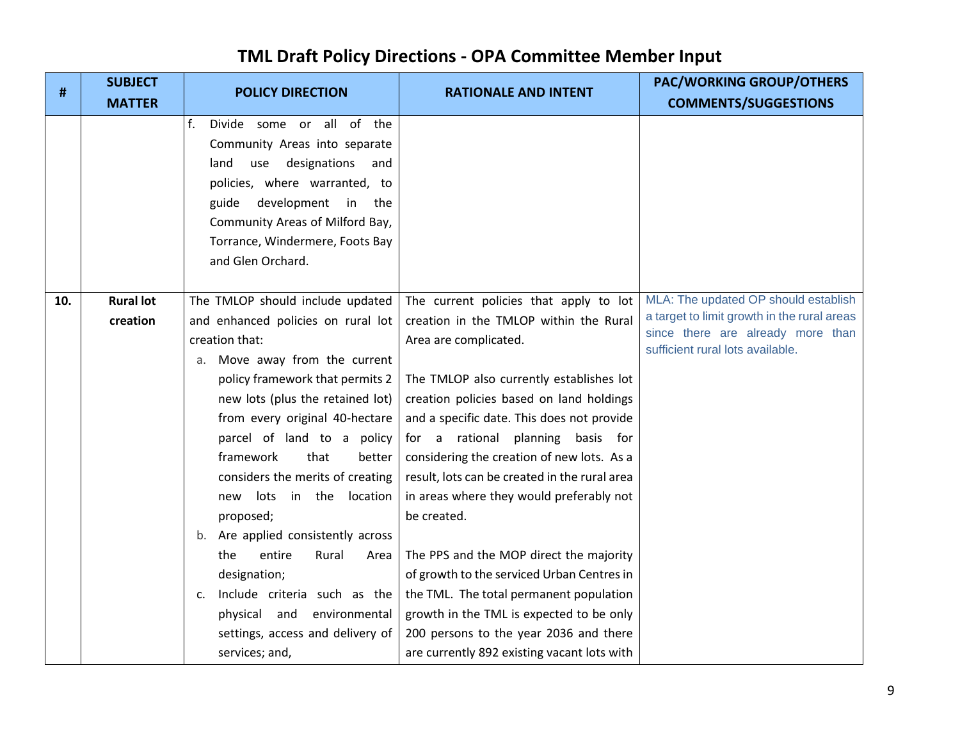| #   | <b>SUBJECT</b><br><b>MATTER</b> | <b>POLICY DIRECTION</b>                                            | <b>RATIONALE AND INTENT</b>                                                            | <b>PAC/WORKING GROUP/OTHERS</b><br><b>COMMENTS/SUGGESTIONS</b>                      |
|-----|---------------------------------|--------------------------------------------------------------------|----------------------------------------------------------------------------------------|-------------------------------------------------------------------------------------|
|     |                                 | f.<br>Divide some or all of the                                    |                                                                                        |                                                                                     |
|     |                                 | Community Areas into separate                                      |                                                                                        |                                                                                     |
|     |                                 | use designations<br>land<br>and                                    |                                                                                        |                                                                                     |
|     |                                 | policies, where warranted, to                                      |                                                                                        |                                                                                     |
|     |                                 | development<br>guide<br>in<br>the                                  |                                                                                        |                                                                                     |
|     |                                 | Community Areas of Milford Bay,                                    |                                                                                        |                                                                                     |
|     |                                 | Torrance, Windermere, Foots Bay                                    |                                                                                        |                                                                                     |
|     |                                 | and Glen Orchard.                                                  |                                                                                        |                                                                                     |
|     |                                 |                                                                    |                                                                                        |                                                                                     |
| 10. | <b>Rural lot</b>                | The TMLOP should include updated                                   | The current policies that apply to lot                                                 | MLA: The updated OP should establish<br>a target to limit growth in the rural areas |
|     | creation                        | and enhanced policies on rural lot                                 | creation in the TMLOP within the Rural                                                 | since there are already more than                                                   |
|     |                                 | creation that:                                                     | Area are complicated.                                                                  | sufficient rural lots available.                                                    |
|     |                                 | Move away from the current<br>а.                                   |                                                                                        |                                                                                     |
|     |                                 | policy framework that permits 2                                    | The TMLOP also currently establishes lot                                               |                                                                                     |
|     |                                 | new lots (plus the retained lot)<br>from every original 40-hectare | creation policies based on land holdings<br>and a specific date. This does not provide |                                                                                     |
|     |                                 | parcel of land to a policy                                         | for a rational<br>planning basis for                                                   |                                                                                     |
|     |                                 | framework<br>that<br>better                                        | considering the creation of new lots. As a                                             |                                                                                     |
|     |                                 | considers the merits of creating                                   | result, lots can be created in the rural area                                          |                                                                                     |
|     |                                 | lots in the location<br>new                                        | in areas where they would preferably not                                               |                                                                                     |
|     |                                 | proposed;                                                          | be created.                                                                            |                                                                                     |
|     |                                 | b. Are applied consistently across                                 |                                                                                        |                                                                                     |
|     |                                 | entire<br>Rural<br>the<br>Area                                     | The PPS and the MOP direct the majority                                                |                                                                                     |
|     |                                 | designation;                                                       | of growth to the serviced Urban Centres in                                             |                                                                                     |
|     |                                 | Include criteria such as the<br>$C_{\star}$                        | the TML. The total permanent population                                                |                                                                                     |
|     |                                 | physical and environmental                                         | growth in the TML is expected to be only                                               |                                                                                     |
|     |                                 | settings, access and delivery of                                   | 200 persons to the year 2036 and there                                                 |                                                                                     |
|     |                                 | services; and,                                                     | are currently 892 existing vacant lots with                                            |                                                                                     |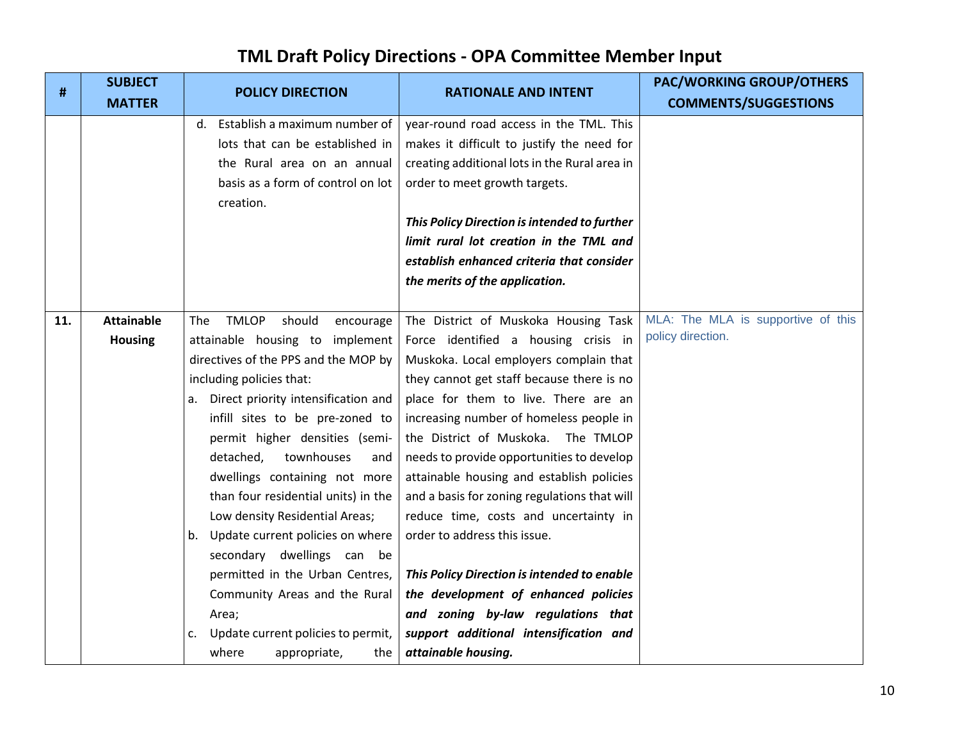| #   | <b>SUBJECT</b>    | <b>POLICY DIRECTION</b>                    | <b>RATIONALE AND INTENT</b>                   | <b>PAC/WORKING GROUP/OTHERS</b>    |
|-----|-------------------|--------------------------------------------|-----------------------------------------------|------------------------------------|
|     | <b>MATTER</b>     |                                            |                                               | <b>COMMENTS/SUGGESTIONS</b>        |
|     |                   | d. Establish a maximum number of           | year-round road access in the TML. This       |                                    |
|     |                   | lots that can be established in            | makes it difficult to justify the need for    |                                    |
|     |                   | the Rural area on an annual                | creating additional lots in the Rural area in |                                    |
|     |                   | basis as a form of control on lot          | order to meet growth targets.                 |                                    |
|     |                   | creation.                                  |                                               |                                    |
|     |                   |                                            | This Policy Direction is intended to further  |                                    |
|     |                   |                                            | limit rural lot creation in the TML and       |                                    |
|     |                   |                                            | establish enhanced criteria that consider     |                                    |
|     |                   |                                            | the merits of the application.                |                                    |
|     |                   |                                            |                                               |                                    |
| 11. | <b>Attainable</b> | <b>TMLOP</b><br>should<br>The<br>encourage | The District of Muskoka Housing Task          | MLA: The MLA is supportive of this |
|     | <b>Housing</b>    | attainable housing to implement            | Force identified a housing crisis in          | policy direction.                  |
|     |                   | directives of the PPS and the MOP by       | Muskoka. Local employers complain that        |                                    |
|     |                   | including policies that:                   | they cannot get staff because there is no     |                                    |
|     |                   | a. Direct priority intensification and     | place for them to live. There are an          |                                    |
|     |                   | infill sites to be pre-zoned to            | increasing number of homeless people in       |                                    |
|     |                   | permit higher densities (semi-             | the District of Muskoka. The TMLOP            |                                    |
|     |                   | detached,<br>townhouses<br>and             | needs to provide opportunities to develop     |                                    |
|     |                   | dwellings containing not more              | attainable housing and establish policies     |                                    |
|     |                   | than four residential units) in the        | and a basis for zoning regulations that will  |                                    |
|     |                   | Low density Residential Areas;             | reduce time, costs and uncertainty in         |                                    |
|     |                   | Update current policies on where<br>b.     | order to address this issue.                  |                                    |
|     |                   | secondary dwellings can be                 |                                               |                                    |
|     |                   | permitted in the Urban Centres,            | This Policy Direction is intended to enable   |                                    |
|     |                   | Community Areas and the Rural              | the development of enhanced policies          |                                    |
|     |                   | Area;                                      | and zoning by-law regulations that            |                                    |
|     |                   | Update current policies to permit,<br>c.   | support additional intensification and        |                                    |
|     |                   | where<br>appropriate,<br>the               | attainable housing.                           |                                    |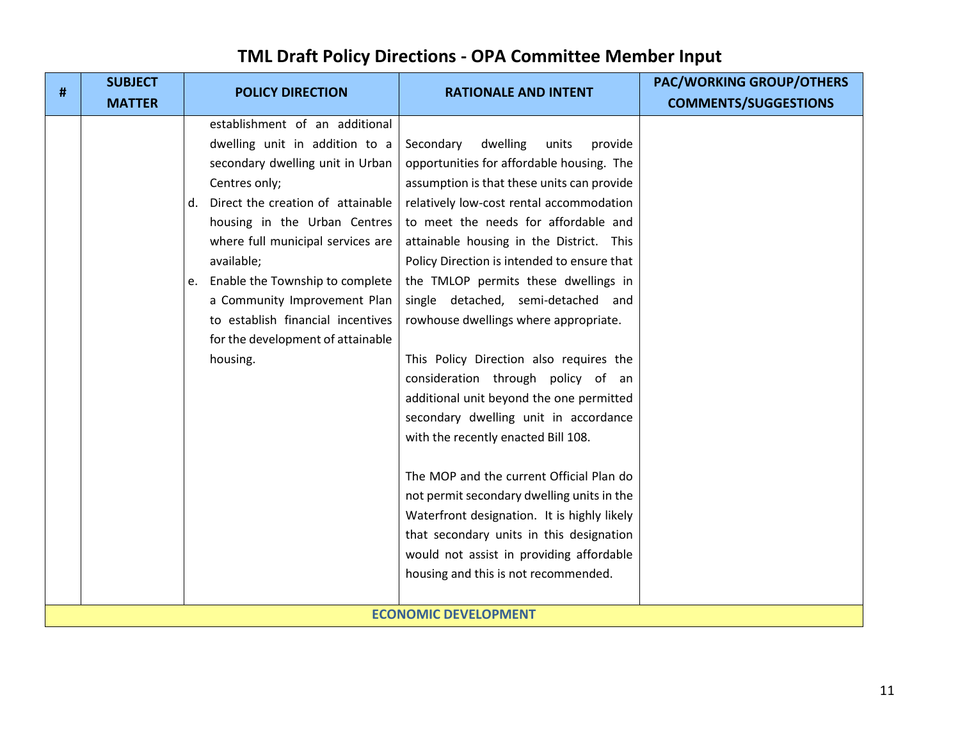| # | <b>SUBJECT</b><br><b>MATTER</b> | <b>POLICY DIRECTION</b>                                                                                                                                                                                                                                                                                                                                                                                         | <b>RATIONALE AND INTENT</b>                                                                                                                                                                                                                                                                                                                                                                                                                                                                                                                                                                                                                                                                                                                                                                                                                                                                                                      | <b>PAC/WORKING GROUP/OTHERS</b><br><b>COMMENTS/SUGGESTIONS</b> |
|---|---------------------------------|-----------------------------------------------------------------------------------------------------------------------------------------------------------------------------------------------------------------------------------------------------------------------------------------------------------------------------------------------------------------------------------------------------------------|----------------------------------------------------------------------------------------------------------------------------------------------------------------------------------------------------------------------------------------------------------------------------------------------------------------------------------------------------------------------------------------------------------------------------------------------------------------------------------------------------------------------------------------------------------------------------------------------------------------------------------------------------------------------------------------------------------------------------------------------------------------------------------------------------------------------------------------------------------------------------------------------------------------------------------|----------------------------------------------------------------|
|   |                                 | establishment of an additional<br>dwelling unit in addition to a<br>secondary dwelling unit in Urban<br>Centres only;<br>Direct the creation of attainable<br>d.<br>housing in the Urban Centres<br>where full municipal services are<br>available;<br>e. Enable the Township to complete<br>a Community Improvement Plan<br>to establish financial incentives<br>for the development of attainable<br>housing. | dwelling<br>Secondary<br>units<br>provide<br>opportunities for affordable housing. The<br>assumption is that these units can provide<br>relatively low-cost rental accommodation<br>to meet the needs for affordable and<br>attainable housing in the District. This<br>Policy Direction is intended to ensure that<br>the TMLOP permits these dwellings in<br>single detached, semi-detached and<br>rowhouse dwellings where appropriate.<br>This Policy Direction also requires the<br>consideration through policy of an<br>additional unit beyond the one permitted<br>secondary dwelling unit in accordance<br>with the recently enacted Bill 108.<br>The MOP and the current Official Plan do<br>not permit secondary dwelling units in the<br>Waterfront designation. It is highly likely<br>that secondary units in this designation<br>would not assist in providing affordable<br>housing and this is not recommended. |                                                                |
|   |                                 |                                                                                                                                                                                                                                                                                                                                                                                                                 | <b>ECONOMIC DEVELOPMENT</b>                                                                                                                                                                                                                                                                                                                                                                                                                                                                                                                                                                                                                                                                                                                                                                                                                                                                                                      |                                                                |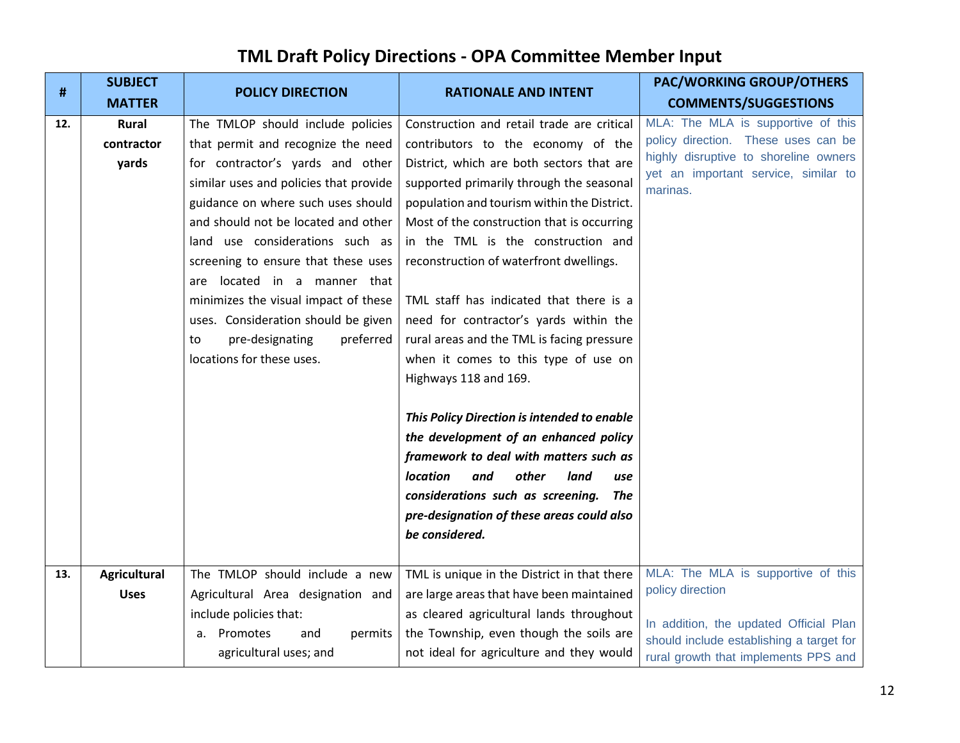| #   | <b>SUBJECT</b>      | <b>POLICY DIRECTION</b>                | <b>RATIONALE AND INTENT</b>                 | <b>PAC/WORKING GROUP/OTHERS</b>                                               |
|-----|---------------------|----------------------------------------|---------------------------------------------|-------------------------------------------------------------------------------|
|     | <b>MATTER</b>       |                                        |                                             | <b>COMMENTS/SUGGESTIONS</b>                                                   |
| 12. | <b>Rural</b>        | The TMLOP should include policies      | Construction and retail trade are critical  | MLA: The MLA is supportive of this                                            |
|     | contractor          | that permit and recognize the need     | contributors to the economy of the          | policy direction. These uses can be                                           |
|     | yards               | for contractor's yards and other       | District, which are both sectors that are   | highly disruptive to shoreline owners<br>yet an important service, similar to |
|     |                     | similar uses and policies that provide | supported primarily through the seasonal    | marinas.                                                                      |
|     |                     | guidance on where such uses should     | population and tourism within the District. |                                                                               |
|     |                     | and should not be located and other    | Most of the construction that is occurring  |                                                                               |
|     |                     | land use considerations such as        | in the TML is the construction and          |                                                                               |
|     |                     | screening to ensure that these uses    | reconstruction of waterfront dwellings.     |                                                                               |
|     |                     | are located in a manner that           |                                             |                                                                               |
|     |                     | minimizes the visual impact of these   | TML staff has indicated that there is a     |                                                                               |
|     |                     | uses. Consideration should be given    | need for contractor's yards within the      |                                                                               |
|     |                     | pre-designating<br>preferred<br>to     | rural areas and the TML is facing pressure  |                                                                               |
|     |                     | locations for these uses.              | when it comes to this type of use on        |                                                                               |
|     |                     |                                        | Highways 118 and 169.                       |                                                                               |
|     |                     |                                        |                                             |                                                                               |
|     |                     |                                        | This Policy Direction is intended to enable |                                                                               |
|     |                     |                                        | the development of an enhanced policy       |                                                                               |
|     |                     |                                        | framework to deal with matters such as      |                                                                               |
|     |                     |                                        | location<br>other<br>land<br>and<br>use     |                                                                               |
|     |                     |                                        | considerations such as screening.<br>The    |                                                                               |
|     |                     |                                        | pre-designation of these areas could also   |                                                                               |
|     |                     |                                        | be considered.                              |                                                                               |
|     |                     |                                        |                                             |                                                                               |
| 13. | <b>Agricultural</b> | The TMLOP should include a new         | TML is unique in the District in that there | MLA: The MLA is supportive of this<br>policy direction                        |
|     | <b>Uses</b>         | Agricultural Area designation and      | are large areas that have been maintained   |                                                                               |
|     |                     | include policies that:                 | as cleared agricultural lands throughout    | In addition, the updated Official Plan                                        |
|     |                     | a. Promotes<br>and<br>permits          | the Township, even though the soils are     | should include establishing a target for                                      |
|     |                     | agricultural uses; and                 | not ideal for agriculture and they would    | rural growth that implements PPS and                                          |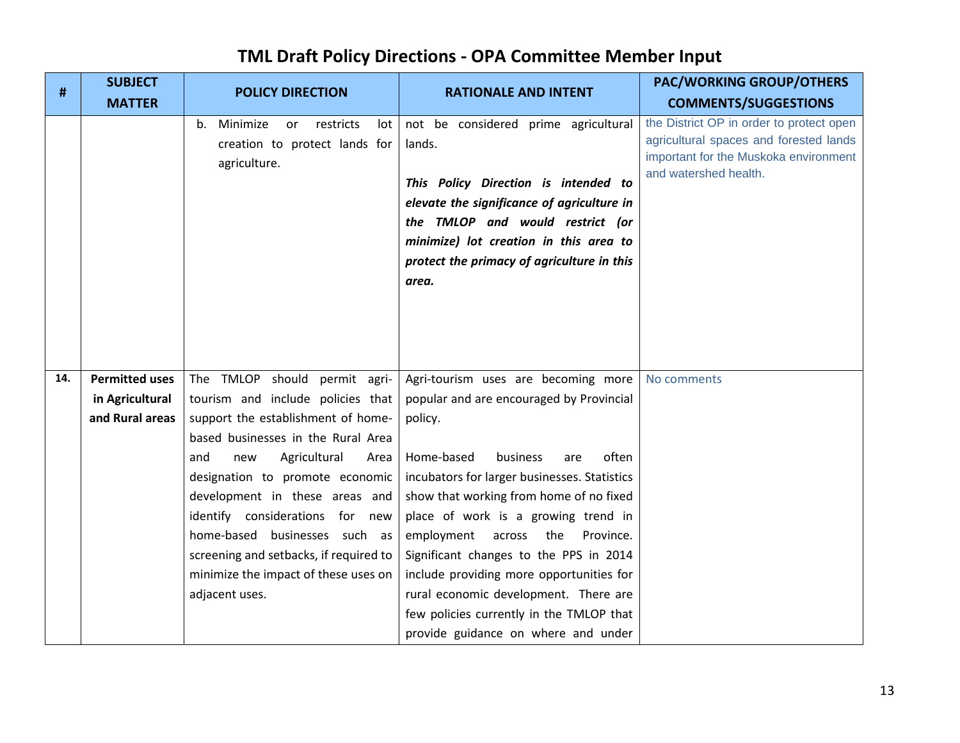| #   | <b>SUBJECT</b>        | <b>POLICY DIRECTION</b>                                                                   | <b>RATIONALE AND INTENT</b>                                                                                                                                                                                                                                               | <b>PAC/WORKING GROUP/OTHERS</b>                                                                                                                      |
|-----|-----------------------|-------------------------------------------------------------------------------------------|---------------------------------------------------------------------------------------------------------------------------------------------------------------------------------------------------------------------------------------------------------------------------|------------------------------------------------------------------------------------------------------------------------------------------------------|
|     | <b>MATTER</b>         |                                                                                           |                                                                                                                                                                                                                                                                           | <b>COMMENTS/SUGGESTIONS</b>                                                                                                                          |
|     |                       | Minimize<br>restricts<br>lot<br>b.<br>or<br>creation to protect lands for<br>agriculture. | not be considered prime agricultural<br>lands.<br>This Policy Direction is intended to<br>elevate the significance of agriculture in<br>the TMLOP and would restrict (or<br>minimize) lot creation in this area to<br>protect the primacy of agriculture in this<br>area. | the District OP in order to protect open<br>agricultural spaces and forested lands<br>important for the Muskoka environment<br>and watershed health. |
| 14. | <b>Permitted uses</b> | The TMLOP should permit agri-                                                             | Agri-tourism uses are becoming more                                                                                                                                                                                                                                       | No comments                                                                                                                                          |
|     | in Agricultural       | tourism and include policies that                                                         | popular and are encouraged by Provincial                                                                                                                                                                                                                                  |                                                                                                                                                      |
|     | and Rural areas       | support the establishment of home-                                                        | policy.                                                                                                                                                                                                                                                                   |                                                                                                                                                      |
|     |                       | based businesses in the Rural Area                                                        |                                                                                                                                                                                                                                                                           |                                                                                                                                                      |
|     |                       | Agricultural<br>and<br>Area<br>new                                                        | Home-based<br>often<br>business<br>are                                                                                                                                                                                                                                    |                                                                                                                                                      |
|     |                       | designation to promote economic                                                           | incubators for larger businesses. Statistics                                                                                                                                                                                                                              |                                                                                                                                                      |
|     |                       | development in these areas and                                                            | show that working from home of no fixed                                                                                                                                                                                                                                   |                                                                                                                                                      |
|     |                       | identify considerations for new<br>home-based businesses such as                          | place of work is a growing trend in<br>employment across the<br>Province.                                                                                                                                                                                                 |                                                                                                                                                      |
|     |                       | screening and setbacks, if required to                                                    | Significant changes to the PPS in 2014                                                                                                                                                                                                                                    |                                                                                                                                                      |
|     |                       | minimize the impact of these uses on                                                      | include providing more opportunities for                                                                                                                                                                                                                                  |                                                                                                                                                      |
|     |                       | adjacent uses.                                                                            | rural economic development. There are                                                                                                                                                                                                                                     |                                                                                                                                                      |
|     |                       |                                                                                           | few policies currently in the TMLOP that                                                                                                                                                                                                                                  |                                                                                                                                                      |
|     |                       |                                                                                           | provide guidance on where and under                                                                                                                                                                                                                                       |                                                                                                                                                      |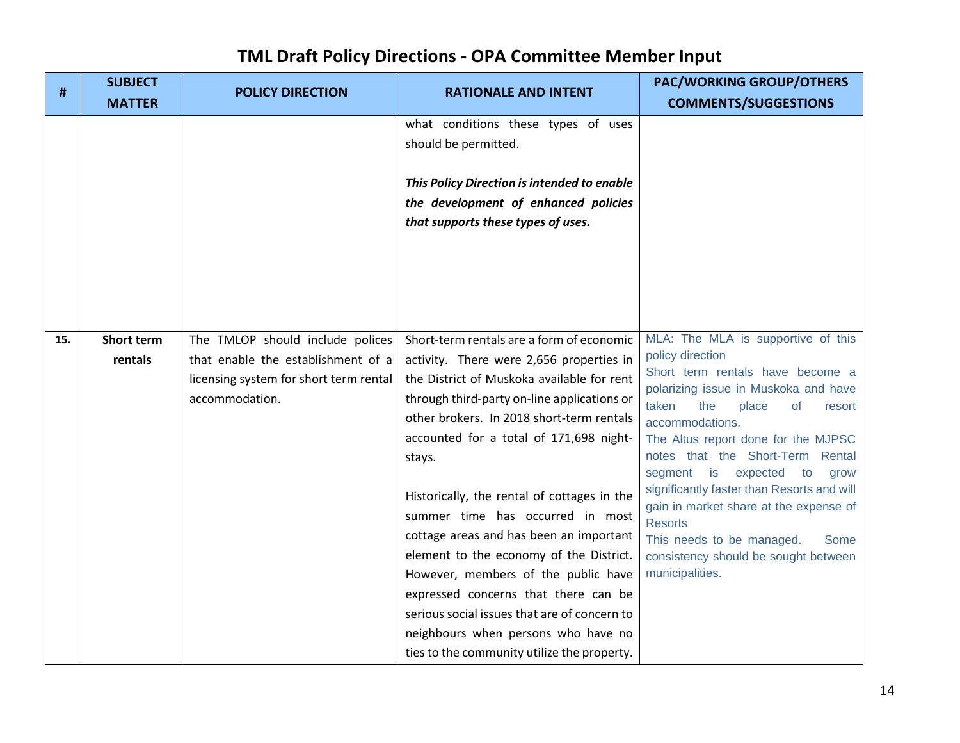| #   | <b>SUBJECT</b><br><b>MATTER</b> | <b>POLICY DIRECTION</b>                | <b>RATIONALE AND INTENT</b>                                                                                                                                                                                                                                                                          | <b>PAC/WORKING GROUP/OTHERS</b><br><b>COMMENTS/SUGGESTIONS</b>                                                                                                                                                                                 |
|-----|---------------------------------|----------------------------------------|------------------------------------------------------------------------------------------------------------------------------------------------------------------------------------------------------------------------------------------------------------------------------------------------------|------------------------------------------------------------------------------------------------------------------------------------------------------------------------------------------------------------------------------------------------|
|     |                                 |                                        | what conditions these types of uses<br>should be permitted.                                                                                                                                                                                                                                          |                                                                                                                                                                                                                                                |
|     |                                 |                                        | This Policy Direction is intended to enable<br>the development of enhanced policies<br>that supports these types of uses.                                                                                                                                                                            |                                                                                                                                                                                                                                                |
|     |                                 |                                        |                                                                                                                                                                                                                                                                                                      |                                                                                                                                                                                                                                                |
| 15. | <b>Short term</b>               | The TMLOP should include polices       | Short-term rentals are a form of economic                                                                                                                                                                                                                                                            | MLA: The MLA is supportive of this                                                                                                                                                                                                             |
|     | rentals                         | that enable the establishment of a     | activity. There were 2,656 properties in                                                                                                                                                                                                                                                             | policy direction<br>Short term rentals have become a                                                                                                                                                                                           |
|     |                                 | licensing system for short term rental | the District of Muskoka available for rent                                                                                                                                                                                                                                                           | polarizing issue in Muskoka and have                                                                                                                                                                                                           |
|     |                                 | accommodation.                         | through third-party on-line applications or                                                                                                                                                                                                                                                          | taken<br>the<br>place<br>οf<br>resort                                                                                                                                                                                                          |
|     |                                 |                                        | other brokers. In 2018 short-term rentals                                                                                                                                                                                                                                                            | accommodations.                                                                                                                                                                                                                                |
|     |                                 |                                        | accounted for a total of 171,698 night-                                                                                                                                                                                                                                                              | The Altus report done for the MJPSC                                                                                                                                                                                                            |
|     |                                 |                                        | stays.                                                                                                                                                                                                                                                                                               | notes that the Short-Term Rental                                                                                                                                                                                                               |
|     |                                 |                                        | Historically, the rental of cottages in the<br>summer time has occurred in most<br>cottage areas and has been an important<br>element to the economy of the District.<br>However, members of the public have<br>expressed concerns that there can be<br>serious social issues that are of concern to | segment<br>is<br>expected to<br>grow<br>significantly faster than Resorts and will<br>gain in market share at the expense of<br><b>Resorts</b><br>This needs to be managed.<br>Some<br>consistency should be sought between<br>municipalities. |
|     |                                 |                                        | neighbours when persons who have no<br>ties to the community utilize the property.                                                                                                                                                                                                                   |                                                                                                                                                                                                                                                |
|     |                                 |                                        |                                                                                                                                                                                                                                                                                                      |                                                                                                                                                                                                                                                |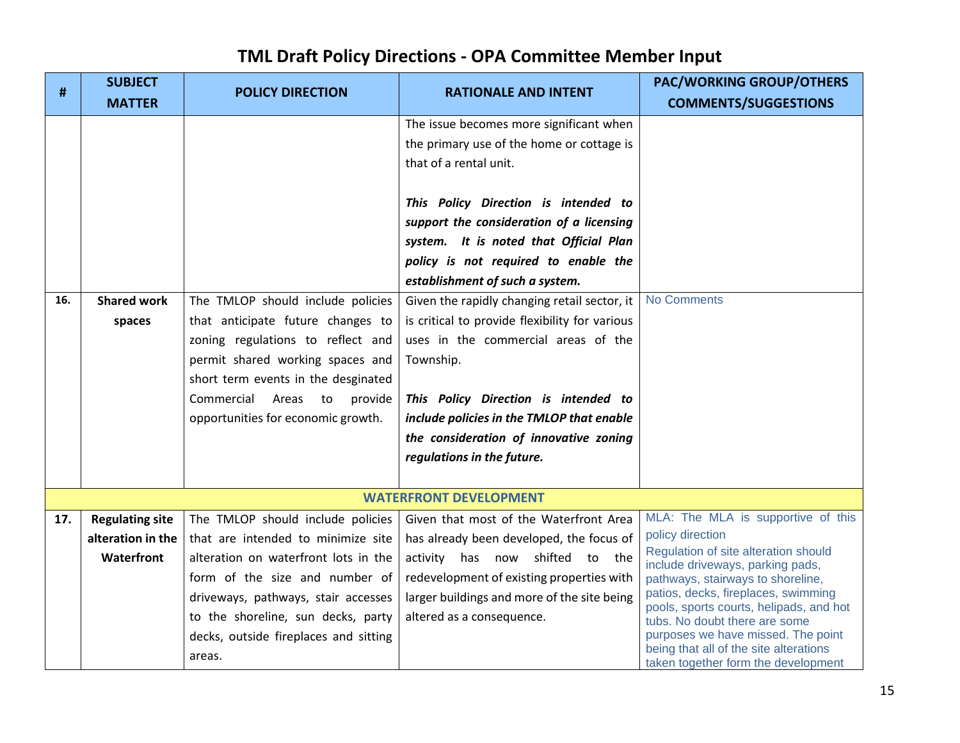| #   | <b>SUBJECT</b>         | <b>POLICY DIRECTION</b>               | <b>RATIONALE AND INTENT</b>                    | <b>PAC/WORKING GROUP/OTHERS</b>                                                |
|-----|------------------------|---------------------------------------|------------------------------------------------|--------------------------------------------------------------------------------|
|     | <b>MATTER</b>          |                                       |                                                | <b>COMMENTS/SUGGESTIONS</b>                                                    |
|     |                        |                                       | The issue becomes more significant when        |                                                                                |
|     |                        |                                       | the primary use of the home or cottage is      |                                                                                |
|     |                        |                                       | that of a rental unit.                         |                                                                                |
|     |                        |                                       |                                                |                                                                                |
|     |                        |                                       | This Policy Direction is intended to           |                                                                                |
|     |                        |                                       | support the consideration of a licensing       |                                                                                |
|     |                        |                                       | system. It is noted that Official Plan         |                                                                                |
|     |                        |                                       | policy is not required to enable the           |                                                                                |
|     |                        |                                       | establishment of such a system.                |                                                                                |
| 16. | <b>Shared work</b>     | The TMLOP should include policies     | Given the rapidly changing retail sector, it   | <b>No Comments</b>                                                             |
|     | spaces                 | that anticipate future changes to     | is critical to provide flexibility for various |                                                                                |
|     |                        | zoning regulations to reflect and     | uses in the commercial areas of the            |                                                                                |
|     |                        | permit shared working spaces and      | Township.                                      |                                                                                |
|     |                        | short term events in the desginated   |                                                |                                                                                |
|     |                        | Commercial<br>Areas<br>provide<br>to  | This Policy Direction is intended to           |                                                                                |
|     |                        | opportunities for economic growth.    | include policies in the TMLOP that enable      |                                                                                |
|     |                        |                                       | the consideration of innovative zoning         |                                                                                |
|     |                        |                                       | regulations in the future.                     |                                                                                |
|     |                        |                                       |                                                |                                                                                |
|     |                        |                                       | <b>WATERFRONT DEVELOPMENT</b>                  |                                                                                |
| 17. | <b>Regulating site</b> | The TMLOP should include policies     | Given that most of the Waterfront Area         | MLA: The MLA is supportive of this                                             |
|     | alteration in the      | that are intended to minimize site    | has already been developed, the focus of       | policy direction<br>Regulation of site alteration should                       |
|     | Waterfront             | alteration on waterfront lots in the  | activity has now shifted to the                | include driveways, parking pads,                                               |
|     |                        | form of the size and number of        | redevelopment of existing properties with      | pathways, stairways to shoreline,                                              |
|     |                        | driveways, pathways, stair accesses   | larger buildings and more of the site being    | patios, decks, fireplaces, swimming<br>pools, sports courts, helipads, and hot |
|     |                        | to the shoreline, sun decks, party    | altered as a consequence.                      | tubs. No doubt there are some                                                  |
|     |                        | decks, outside fireplaces and sitting |                                                | purposes we have missed. The point<br>being that all of the site alterations   |
|     |                        | areas.                                |                                                | taken together form the development                                            |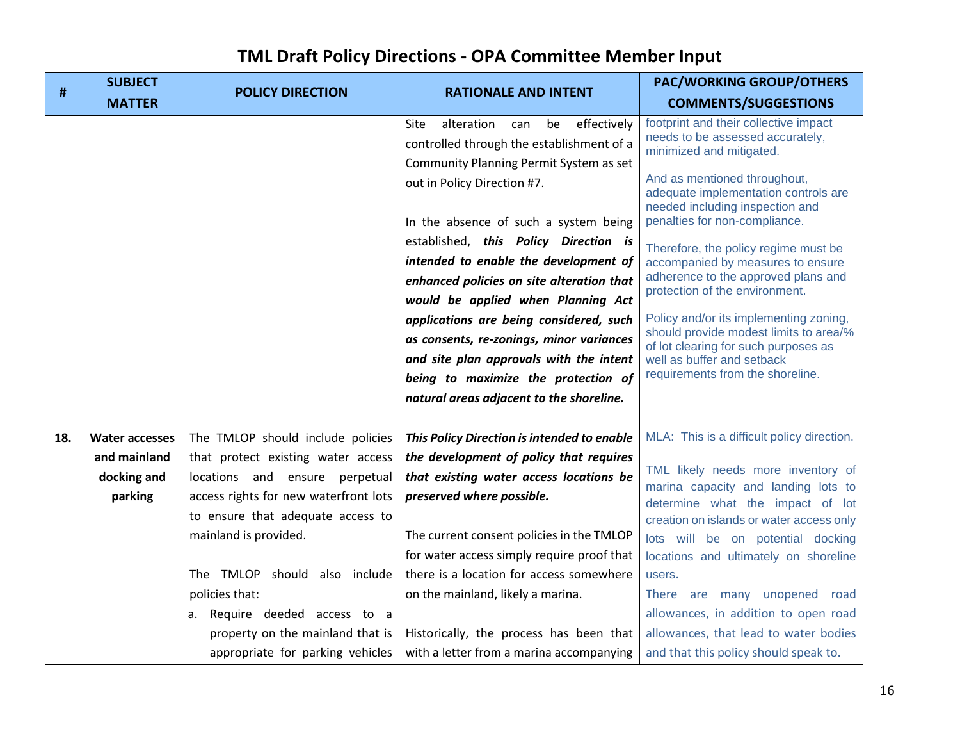| #   | <b>SUBJECT</b>        | <b>POLICY DIRECTION</b>               | <b>RATIONALE AND INTENT</b>                    | <b>PAC/WORKING GROUP/OTHERS</b>                                                                         |
|-----|-----------------------|---------------------------------------|------------------------------------------------|---------------------------------------------------------------------------------------------------------|
|     | <b>MATTER</b>         |                                       |                                                | <b>COMMENTS/SUGGESTIONS</b>                                                                             |
|     |                       |                                       | effectively<br>alteration<br>be<br>Site<br>can | footprint and their collective impact<br>needs to be assessed accurately,                               |
|     |                       |                                       | controlled through the establishment of a      | minimized and mitigated.                                                                                |
|     |                       |                                       | Community Planning Permit System as set        |                                                                                                         |
|     |                       |                                       | out in Policy Direction #7.                    | And as mentioned throughout,<br>adequate implementation controls are<br>needed including inspection and |
|     |                       |                                       | In the absence of such a system being          | penalties for non-compliance.                                                                           |
|     |                       |                                       | established, this Policy Direction is          | Therefore, the policy regime must be                                                                    |
|     |                       |                                       | intended to enable the development of          | accompanied by measures to ensure                                                                       |
|     |                       |                                       | enhanced policies on site alteration that      | adherence to the approved plans and<br>protection of the environment.                                   |
|     |                       |                                       | would be applied when Planning Act             |                                                                                                         |
|     |                       |                                       | applications are being considered, such        | Policy and/or its implementing zoning,<br>should provide modest limits to area/%                        |
|     |                       |                                       | as consents, re-zonings, minor variances       | of lot clearing for such purposes as                                                                    |
|     |                       |                                       | and site plan approvals with the intent        | well as buffer and setback                                                                              |
|     |                       |                                       | being to maximize the protection of            | requirements from the shoreline.                                                                        |
|     |                       |                                       | natural areas adjacent to the shoreline.       |                                                                                                         |
|     |                       |                                       |                                                |                                                                                                         |
| 18. | <b>Water accesses</b> | The TMLOP should include policies     | This Policy Direction is intended to enable    | MLA: This is a difficult policy direction.                                                              |
|     | and mainland          | that protect existing water access    | the development of policy that requires        |                                                                                                         |
|     | docking and           | locations and ensure perpetual        | that existing water access locations be        | TML likely needs more inventory of<br>marina capacity and landing lots to                               |
|     | parking               | access rights for new waterfront lots | preserved where possible.                      | determine what the impact of lot                                                                        |
|     |                       | to ensure that adequate access to     |                                                | creation on islands or water access only                                                                |
|     |                       | mainland is provided.                 | The current consent policies in the TMLOP      | lots will be on potential docking                                                                       |
|     |                       |                                       | for water access simply require proof that     | locations and ultimately on shoreline                                                                   |
|     |                       | The TMLOP should also include         | there is a location for access somewhere       | users.                                                                                                  |
|     |                       | policies that:                        | on the mainland, likely a marina.              | There are many unopened road                                                                            |
|     |                       | a. Require deeded access to a         |                                                | allowances, in addition to open road                                                                    |
|     |                       | property on the mainland that is      | Historically, the process has been that        | allowances, that lead to water bodies                                                                   |
|     |                       | appropriate for parking vehicles      | with a letter from a marina accompanying       | and that this policy should speak to.                                                                   |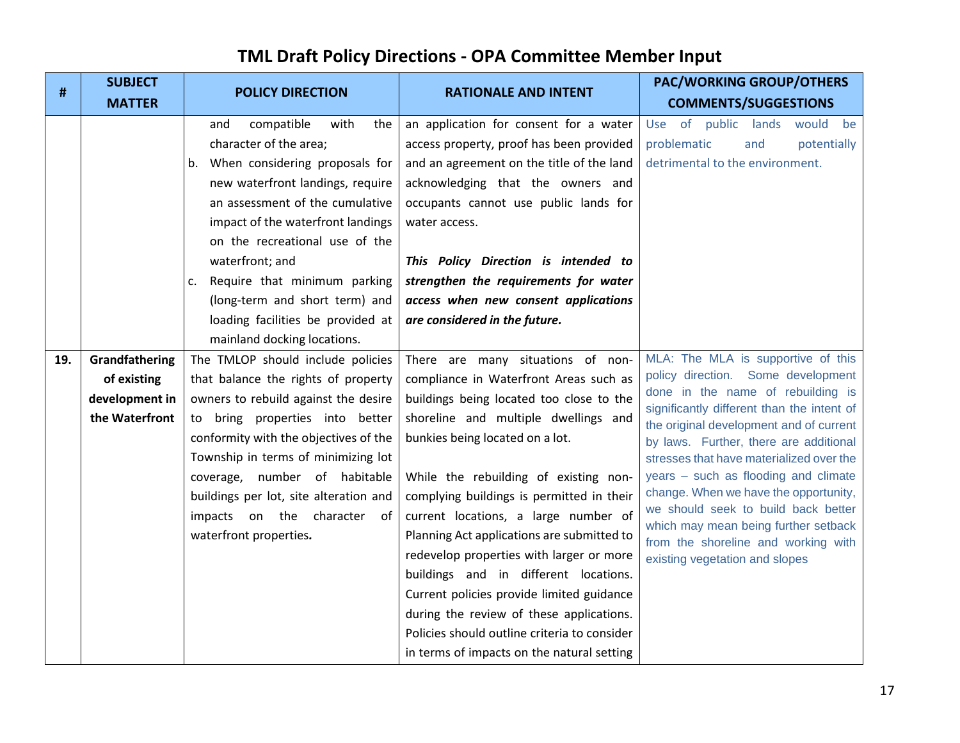| <b>SUBJECT</b> |                                                                                                                                                                                                                                                                                                                                                                               |                                                                                                                                                                                                                                                                                                                                                                                          | <b>PAC/WORKING GROUP/OTHERS</b>                                                                                                                                                                                                                                                                                                                                                                                                                                                 |
|----------------|-------------------------------------------------------------------------------------------------------------------------------------------------------------------------------------------------------------------------------------------------------------------------------------------------------------------------------------------------------------------------------|------------------------------------------------------------------------------------------------------------------------------------------------------------------------------------------------------------------------------------------------------------------------------------------------------------------------------------------------------------------------------------------|---------------------------------------------------------------------------------------------------------------------------------------------------------------------------------------------------------------------------------------------------------------------------------------------------------------------------------------------------------------------------------------------------------------------------------------------------------------------------------|
| <b>MATTER</b>  |                                                                                                                                                                                                                                                                                                                                                                               |                                                                                                                                                                                                                                                                                                                                                                                          | <b>COMMENTS/SUGGESTIONS</b>                                                                                                                                                                                                                                                                                                                                                                                                                                                     |
|                | compatible<br>with<br>and<br>the<br>character of the area;<br>b. When considering proposals for<br>new waterfront landings, require<br>an assessment of the cumulative<br>impact of the waterfront landings<br>on the recreational use of the<br>waterfront; and<br>Require that minimum parking<br>c.<br>(long-term and short term) and<br>loading facilities be provided at | an application for consent for a water<br>access property, proof has been provided<br>and an agreement on the title of the land<br>acknowledging that the owners and<br>occupants cannot use public lands for<br>water access.<br>This Policy Direction is intended to<br>strengthen the requirements for water<br>access when new consent applications<br>are considered in the future. | Use of public lands<br>would<br>be<br>potentially<br>problematic<br>and<br>detrimental to the environment.                                                                                                                                                                                                                                                                                                                                                                      |
|                |                                                                                                                                                                                                                                                                                                                                                                               |                                                                                                                                                                                                                                                                                                                                                                                          | MLA: The MLA is supportive of this                                                                                                                                                                                                                                                                                                                                                                                                                                              |
| of existing    | that balance the rights of property                                                                                                                                                                                                                                                                                                                                           | compliance in Waterfront Areas such as                                                                                                                                                                                                                                                                                                                                                   | policy direction. Some development                                                                                                                                                                                                                                                                                                                                                                                                                                              |
| development in | owners to rebuild against the desire                                                                                                                                                                                                                                                                                                                                          | buildings being located too close to the                                                                                                                                                                                                                                                                                                                                                 | done in the name of rebuilding is                                                                                                                                                                                                                                                                                                                                                                                                                                               |
| the Waterfront | to bring properties into better                                                                                                                                                                                                                                                                                                                                               | shoreline and multiple dwellings and                                                                                                                                                                                                                                                                                                                                                     | significantly different than the intent of<br>the original development and of current<br>by laws. Further, there are additional                                                                                                                                                                                                                                                                                                                                                 |
|                | conformity with the objectives of the                                                                                                                                                                                                                                                                                                                                         | bunkies being located on a lot.                                                                                                                                                                                                                                                                                                                                                          |                                                                                                                                                                                                                                                                                                                                                                                                                                                                                 |
|                | Township in terms of minimizing lot                                                                                                                                                                                                                                                                                                                                           |                                                                                                                                                                                                                                                                                                                                                                                          | stresses that have materialized over the                                                                                                                                                                                                                                                                                                                                                                                                                                        |
|                | coverage, number of habitable                                                                                                                                                                                                                                                                                                                                                 | While the rebuilding of existing non-                                                                                                                                                                                                                                                                                                                                                    | years - such as flooding and climate                                                                                                                                                                                                                                                                                                                                                                                                                                            |
|                |                                                                                                                                                                                                                                                                                                                                                                               |                                                                                                                                                                                                                                                                                                                                                                                          | change. When we have the opportunity,<br>we should seek to build back better                                                                                                                                                                                                                                                                                                                                                                                                    |
|                |                                                                                                                                                                                                                                                                                                                                                                               |                                                                                                                                                                                                                                                                                                                                                                                          | which may mean being further setback                                                                                                                                                                                                                                                                                                                                                                                                                                            |
|                |                                                                                                                                                                                                                                                                                                                                                                               |                                                                                                                                                                                                                                                                                                                                                                                          | from the shoreline and working with                                                                                                                                                                                                                                                                                                                                                                                                                                             |
|                |                                                                                                                                                                                                                                                                                                                                                                               |                                                                                                                                                                                                                                                                                                                                                                                          | existing vegetation and slopes                                                                                                                                                                                                                                                                                                                                                                                                                                                  |
|                |                                                                                                                                                                                                                                                                                                                                                                               |                                                                                                                                                                                                                                                                                                                                                                                          |                                                                                                                                                                                                                                                                                                                                                                                                                                                                                 |
|                |                                                                                                                                                                                                                                                                                                                                                                               |                                                                                                                                                                                                                                                                                                                                                                                          |                                                                                                                                                                                                                                                                                                                                                                                                                                                                                 |
|                |                                                                                                                                                                                                                                                                                                                                                                               |                                                                                                                                                                                                                                                                                                                                                                                          |                                                                                                                                                                                                                                                                                                                                                                                                                                                                                 |
|                |                                                                                                                                                                                                                                                                                                                                                                               |                                                                                                                                                                                                                                                                                                                                                                                          |                                                                                                                                                                                                                                                                                                                                                                                                                                                                                 |
|                | Grandfathering                                                                                                                                                                                                                                                                                                                                                                | <b>POLICY DIRECTION</b><br>mainland docking locations.<br>The TMLOP should include policies<br>buildings per lot, site alteration and<br>impacts on the character of<br>waterfront properties.                                                                                                                                                                                           | <b>RATIONALE AND INTENT</b><br>There are many situations of non-<br>complying buildings is permitted in their<br>current locations, a large number of<br>Planning Act applications are submitted to<br>redevelop properties with larger or more<br>buildings and in different locations.<br>Current policies provide limited guidance<br>during the review of these applications.<br>Policies should outline criteria to consider<br>in terms of impacts on the natural setting |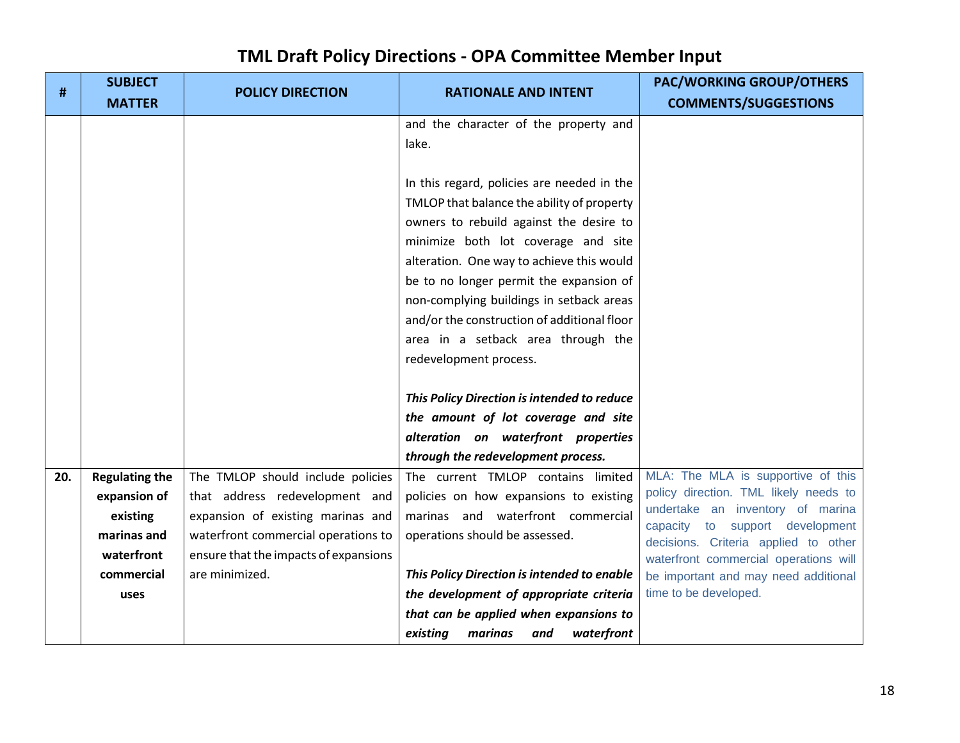| #   | <b>SUBJECT</b><br><b>MATTER</b> | <b>POLICY DIRECTION</b>               | <b>RATIONALE AND INTENT</b>                                                                                                                                                                                                                                                                                                                                                                                                                                                                                                                                                                                                                        | <b>PAC/WORKING GROUP/OTHERS</b><br><b>COMMENTS/SUGGESTIONS</b>              |
|-----|---------------------------------|---------------------------------------|----------------------------------------------------------------------------------------------------------------------------------------------------------------------------------------------------------------------------------------------------------------------------------------------------------------------------------------------------------------------------------------------------------------------------------------------------------------------------------------------------------------------------------------------------------------------------------------------------------------------------------------------------|-----------------------------------------------------------------------------|
|     |                                 |                                       | and the character of the property and<br>lake.<br>In this regard, policies are needed in the<br>TMLOP that balance the ability of property<br>owners to rebuild against the desire to<br>minimize both lot coverage and site<br>alteration. One way to achieve this would<br>be to no longer permit the expansion of<br>non-complying buildings in setback areas<br>and/or the construction of additional floor<br>area in a setback area through the<br>redevelopment process.<br>This Policy Direction is intended to reduce<br>the amount of lot coverage and site<br>alteration on waterfront properties<br>through the redevelopment process. |                                                                             |
| 20. | <b>Regulating the</b>           | The TMLOP should include policies     | The current TMLOP contains limited                                                                                                                                                                                                                                                                                                                                                                                                                                                                                                                                                                                                                 | MLA: The MLA is supportive of this<br>policy direction. TML likely needs to |
|     | expansion of                    | that address redevelopment and        | policies on how expansions to existing                                                                                                                                                                                                                                                                                                                                                                                                                                                                                                                                                                                                             | undertake an inventory of marina                                            |
|     | existing                        | expansion of existing marinas and     | marinas and waterfront commercial                                                                                                                                                                                                                                                                                                                                                                                                                                                                                                                                                                                                                  | capacity to support development                                             |
|     | marinas and                     | waterfront commercial operations to   | operations should be assessed.                                                                                                                                                                                                                                                                                                                                                                                                                                                                                                                                                                                                                     | decisions. Criteria applied to other                                        |
|     | waterfront                      | ensure that the impacts of expansions |                                                                                                                                                                                                                                                                                                                                                                                                                                                                                                                                                                                                                                                    | waterfront commercial operations will                                       |
|     | commercial                      | are minimized.                        | This Policy Direction is intended to enable                                                                                                                                                                                                                                                                                                                                                                                                                                                                                                                                                                                                        | be important and may need additional                                        |
|     | uses                            |                                       | the development of appropriate criteria                                                                                                                                                                                                                                                                                                                                                                                                                                                                                                                                                                                                            | time to be developed.                                                       |
|     |                                 |                                       | that can be applied when expansions to                                                                                                                                                                                                                                                                                                                                                                                                                                                                                                                                                                                                             |                                                                             |
|     |                                 |                                       | waterfront<br>existing<br>marinas<br>and                                                                                                                                                                                                                                                                                                                                                                                                                                                                                                                                                                                                           |                                                                             |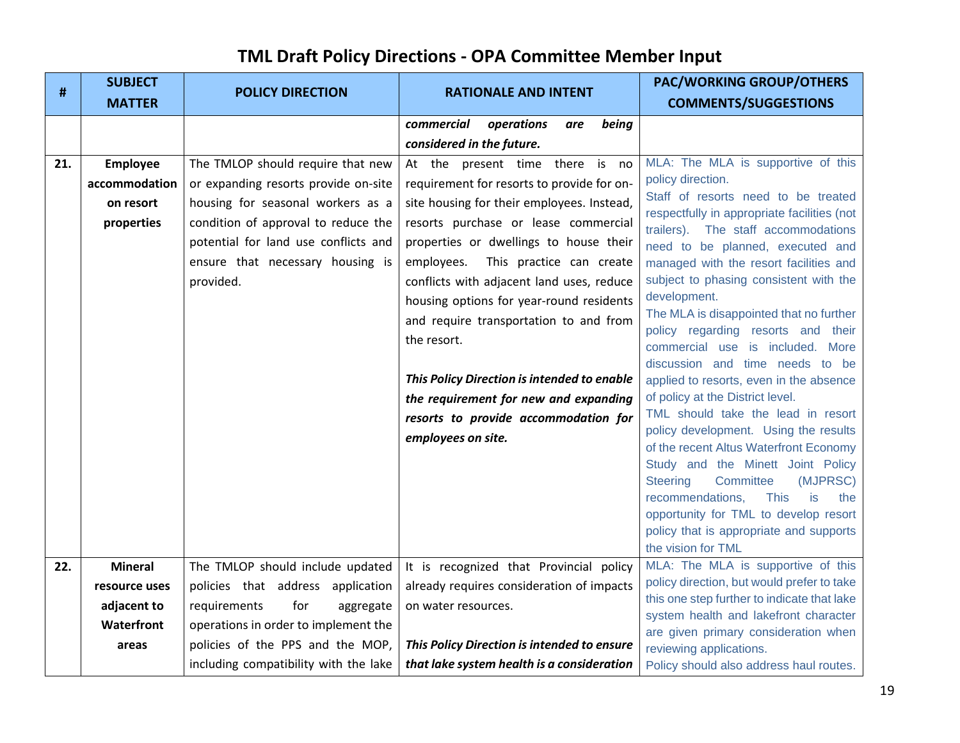| #   | <b>SUBJECT</b>  | <b>POLICY DIRECTION</b>               | <b>RATIONALE AND INTENT</b>                 | <b>PAC/WORKING GROUP/OTHERS</b>                                                           |
|-----|-----------------|---------------------------------------|---------------------------------------------|-------------------------------------------------------------------------------------------|
|     | <b>MATTER</b>   |                                       |                                             | <b>COMMENTS/SUGGESTIONS</b>                                                               |
|     |                 |                                       | commercial<br>operations<br>being<br>are    |                                                                                           |
|     |                 |                                       | considered in the future.                   |                                                                                           |
| 21. | <b>Employee</b> | The TMLOP should require that new     | At the present time there is no             | MLA: The MLA is supportive of this                                                        |
|     | accommodation   | or expanding resorts provide on-site  | requirement for resorts to provide for on-  | policy direction.                                                                         |
|     | on resort       | housing for seasonal workers as a     | site housing for their employees. Instead,  | Staff of resorts need to be treated<br>respectfully in appropriate facilities (not        |
|     | properties      | condition of approval to reduce the   | resorts purchase or lease commercial        | trailers). The staff accommodations                                                       |
|     |                 | potential for land use conflicts and  | properties or dwellings to house their      | need to be planned, executed and                                                          |
|     |                 | ensure that necessary housing is      | employees.<br>This practice can create      | managed with the resort facilities and                                                    |
|     |                 | provided.                             | conflicts with adjacent land uses, reduce   | subject to phasing consistent with the                                                    |
|     |                 |                                       | housing options for year-round residents    | development.                                                                              |
|     |                 |                                       | and require transportation to and from      | The MLA is disappointed that no further<br>policy regarding resorts and their             |
|     |                 |                                       | the resort.                                 | commercial use is included. More                                                          |
|     |                 |                                       |                                             | discussion and time needs to be                                                           |
|     |                 |                                       | This Policy Direction is intended to enable | applied to resorts, even in the absence                                                   |
|     |                 |                                       | the requirement for new and expanding       | of policy at the District level.                                                          |
|     |                 |                                       | resorts to provide accommodation for        | TML should take the lead in resort                                                        |
|     |                 |                                       | employees on site.                          | policy development. Using the results                                                     |
|     |                 |                                       |                                             | of the recent Altus Waterfront Economy<br>Study and the Minett Joint Policy               |
|     |                 |                                       |                                             | Committee<br><b>Steering</b><br>(MJPRSC)                                                  |
|     |                 |                                       |                                             | recommendations,<br><b>This</b><br>is<br>the                                              |
|     |                 |                                       |                                             | opportunity for TML to develop resort                                                     |
|     |                 |                                       |                                             | policy that is appropriate and supports                                                   |
|     |                 |                                       |                                             | the vision for TML                                                                        |
| 22. | <b>Mineral</b>  | The TMLOP should include updated      | It is recognized that Provincial policy     | MLA: The MLA is supportive of this                                                        |
|     | resource uses   | policies that address application     | already requires consideration of impacts   | policy direction, but would prefer to take<br>this one step further to indicate that lake |
|     | adjacent to     | for<br>requirements<br>aggregate      | on water resources.                         | system health and lakefront character                                                     |
|     | Waterfront      | operations in order to implement the  |                                             | are given primary consideration when                                                      |
|     | areas           | policies of the PPS and the MOP,      | This Policy Direction is intended to ensure | reviewing applications.                                                                   |
|     |                 | including compatibility with the lake | that lake system health is a consideration  | Policy should also address haul routes.                                                   |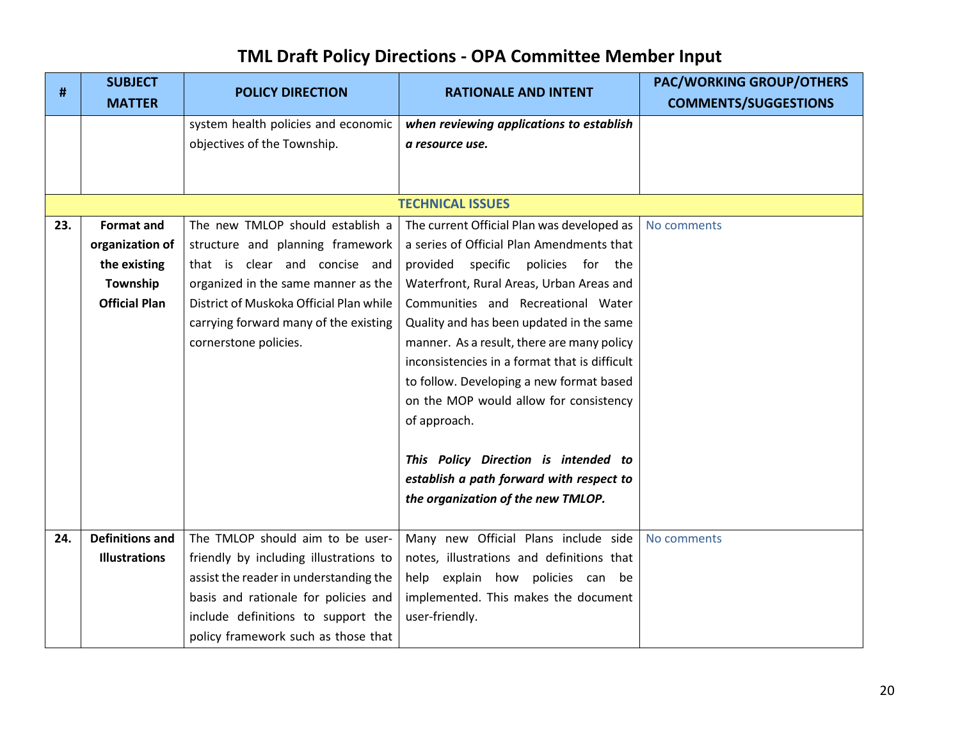| #   | <b>SUBJECT</b>         | <b>POLICY DIRECTION</b>                 | <b>RATIONALE AND INTENT</b>                   | <b>PAC/WORKING GROUP/OTHERS</b> |
|-----|------------------------|-----------------------------------------|-----------------------------------------------|---------------------------------|
|     | <b>MATTER</b>          |                                         |                                               | <b>COMMENTS/SUGGESTIONS</b>     |
|     |                        | system health policies and economic     | when reviewing applications to establish      |                                 |
|     |                        | objectives of the Township.             | a resource use.                               |                                 |
|     |                        |                                         |                                               |                                 |
|     |                        |                                         |                                               |                                 |
|     |                        |                                         | <b>TECHNICAL ISSUES</b>                       |                                 |
| 23. | <b>Format and</b>      | The new TMLOP should establish a        | The current Official Plan was developed as    | No comments                     |
|     | organization of        | structure and planning framework        | a series of Official Plan Amendments that     |                                 |
|     | the existing           | that is clear and concise and           | provided specific policies for the            |                                 |
|     | Township               | organized in the same manner as the     | Waterfront, Rural Areas, Urban Areas and      |                                 |
|     | <b>Official Plan</b>   | District of Muskoka Official Plan while | Communities and Recreational Water            |                                 |
|     |                        | carrying forward many of the existing   | Quality and has been updated in the same      |                                 |
|     |                        | cornerstone policies.                   | manner. As a result, there are many policy    |                                 |
|     |                        |                                         | inconsistencies in a format that is difficult |                                 |
|     |                        |                                         | to follow. Developing a new format based      |                                 |
|     |                        |                                         | on the MOP would allow for consistency        |                                 |
|     |                        |                                         | of approach.                                  |                                 |
|     |                        |                                         |                                               |                                 |
|     |                        |                                         | This Policy Direction is intended to          |                                 |
|     |                        |                                         | establish a path forward with respect to      |                                 |
|     |                        |                                         | the organization of the new TMLOP.            |                                 |
| 24. | <b>Definitions and</b> | The TMLOP should aim to be user-        | Many new Official Plans include side          | No comments                     |
|     | <b>Illustrations</b>   | friendly by including illustrations to  | notes, illustrations and definitions that     |                                 |
|     |                        |                                         | help explain how policies can be              |                                 |
|     |                        | assist the reader in understanding the  |                                               |                                 |
|     |                        | basis and rationale for policies and    | implemented. This makes the document          |                                 |
|     |                        | include definitions to support the      | user-friendly.                                |                                 |
|     |                        | policy framework such as those that     |                                               |                                 |